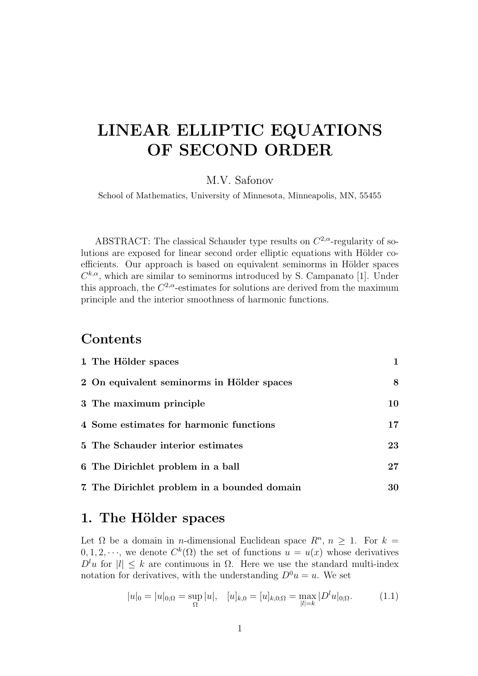# LINEAR ELLIPTIC EQUATIONS OF SECOND ORDER

#### M.V. Safonov

School of Mathematics, University of Minnesota, Minneapolis, MN, 55455

ABSTRACT: The classical Schauder type results on  $C^{2,\alpha}$ -regularity of solutions are exposed for linear second order elliptic equations with Hölder coefficients. Our approach is based on equivalent seminorms in Hölder spaces  $C^{k,\alpha}$ , which are similar to seminorms introduced by S. Campanato [1]. Under this approach, the  $C^{2,\alpha}$ -estimates for solutions are derived from the maximum principle and the interior smoothness of harmonic functions.

# Contents

| 1 The Hölder spaces                          |    |
|----------------------------------------------|----|
| 2 On equivalent seminorms in Hölder spaces   | 8  |
| 3 The maximum principle                      | 10 |
| 4 Some estimates for harmonic functions      | 17 |
| 5 The Schauder interior estimates            | 23 |
| 6 The Dirichlet problem in a ball            | 27 |
| 7. The Dirichlet problem in a bounded domain | 30 |

# 1. The Hölder spaces

Let  $\Omega$  be a domain in *n*-dimensional Euclidean space  $R^n$ ,  $n \geq 1$ . For  $k =$  $0, 1, 2, \dots$ , we denote  $C^k(\Omega)$  the set of functions  $u = u(x)$  whose derivatives  $D^l u$  for  $|l| \leq k$  are continuous in  $\Omega$ . Here we use the standard multi-index notation for derivatives, with the understanding  $D^0u = u$ . We set

$$
|u|_0 = |u|_{0;\Omega} = \sup_{\Omega} |u|, \quad [u]_{k,0} = [u]_{k,0;\Omega} = \max_{|l|=k} |D^l u|_{0;\Omega}.
$$
 (1.1)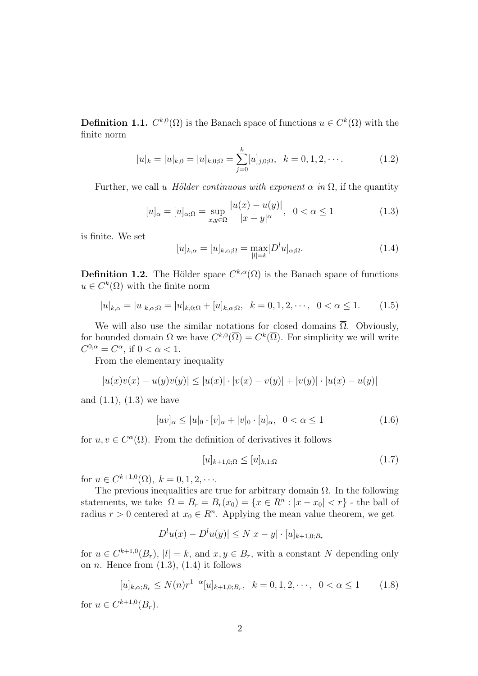**Definition 1.1.**  $C^{k,0}(\Omega)$  is the Banach space of functions  $u \in C^k(\Omega)$  with the finite norm

$$
|u|_{k} = |u|_{k,0} = |u|_{k,0;\Omega} = \sum_{j=0}^{k} [u]_{j,0;\Omega}, \quad k = 0, 1, 2, \cdots.
$$
 (1.2)

Further, we call u Hölder continuous with exponent  $\alpha$  in  $\Omega$ , if the quantity

$$
[u]_{\alpha} = [u]_{\alpha;\Omega} = \sup_{x,y \in \Omega} \frac{|u(x) - u(y)|}{|x - y|^{\alpha}}, \ \ 0 < \alpha \le 1 \tag{1.3}
$$

is finite. We set

$$
[u]_{k,\alpha} = [u]_{k,\alpha;\Omega} = \max_{|l|=k} [D^l u]_{\alpha;\Omega}.
$$
\n(1.4)

**Definition 1.2.** The Hölder space  $C^{k,\alpha}(\Omega)$  is the Banach space of functions  $u \in C^k(\Omega)$  with the finite norm

$$
|u|_{k,\alpha} = |u|_{k,\alpha;\Omega} = |u|_{k,0;\Omega} + [u]_{k,\alpha;\Omega}, \quad k = 0, 1, 2, \cdots, \quad 0 < \alpha \le 1. \tag{1.5}
$$

We will also use the similar notations for closed domains  $\overline{\Omega}$ . Obviously, for bounded domain  $\Omega$  we have  $C^{k,0}(\overline{\Omega}) = C^k(\overline{\Omega})$ . For simplicity we will write  $C^{0,\alpha} = C^{\alpha}$ , if  $0 < \alpha < 1$ .

From the elementary inequality

$$
|u(x)v(x) - u(y)v(y)| \le |u(x)| \cdot |v(x) - v(y)| + |v(y)| \cdot |u(x) - u(y)|
$$

and (1.1), (1.3) we have

$$
[uv]_{\alpha} \le |u|_0 \cdot [v]_{\alpha} + |v|_0 \cdot [u]_{\alpha}, \ \ 0 < \alpha \le 1 \tag{1.6}
$$

for  $u, v \in C^{\alpha}(\Omega)$ . From the definition of derivatives it follows

$$
[u]_{k+1,0;\Omega} \le [u]_{k,1;\Omega} \tag{1.7}
$$

for  $u \in C^{k+1,0}(\Omega)$ ,  $k = 0, 1, 2, \cdots$ .

The previous inequalities are true for arbitrary domain  $\Omega$ . In the following statements, we take  $\Omega = B_r = B_r(x_0) = \{x \in \mathbb{R}^n : |x - x_0| < r\}$  - the ball of radius  $r > 0$  centered at  $x_0 \in R^n$ . Applying the mean value theorem, we get

$$
|D^{l}u(x) - D^{l}u(y)| \le N|x - y| \cdot [u]_{k+1,0;B_r}
$$

for  $u \in C^{k+1,0}(B_r)$ ,  $|l| = k$ , and  $x, y \in B_r$ , with a constant N depending only on *n*. Hence from  $(1.3)$ ,  $(1.4)$  it follows

$$
[u]_{k,\alpha;B_r} \le N(n)r^{1-\alpha}[u]_{k+1,0;B_r}, \quad k=0,1,2,\cdots, \quad 0<\alpha\le 1\tag{1.8}
$$

for  $u \in C^{k+1,0}(B_r)$ .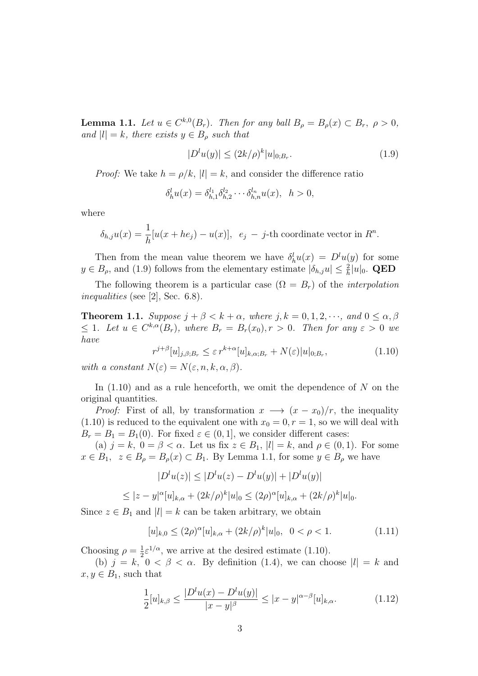**Lemma 1.1.** Let  $u \in C^{k,0}(B_r)$ . Then for any ball  $B_\rho = B_\rho(x) \subset B_r$ ,  $\rho > 0$ , and  $|l| = k$ , there exists  $y \in B_\rho$  such that

$$
|D^{l}u(y)| \le (2k/\rho)^{k}|u|_{0;B_{r}}.\tag{1.9}
$$

*Proof:* We take  $h = \rho/k$ ,  $|l| = k$ , and consider the difference ratio

$$
\delta_h^l u(x) = \delta_{h,1}^{l_1} \delta_{h,2}^{l_2} \cdots \delta_{h,n}^{l_n} u(x), \ \ h > 0,
$$

where

$$
\delta_{h,j}u(x) = \frac{1}{h}[u(x+he_j) - u(x)], e_j - j\text{-th coordinate vector in } R^n.
$$

Then from the mean value theorem we have  $\delta_h^l u(x) = D^l u(y)$  for some  $y \in B_\rho$ , and (1.9) follows from the elementary estimate  $|\delta_{h,j}u| \leq \frac{2}{h}|u|_0$ . QED

The following theorem is a particular case  $(\Omega = B_r)$  of the *interpolation* inequalities (see [2], Sec. 6.8).

**Theorem 1.1.** Suppose  $j + \beta < k + \alpha$ , where  $j, k = 0, 1, 2, \dots$ , and  $0 \leq \alpha, \beta$  $\leq 1$ . Let  $u \in C^{k,\alpha}(B_r)$ , where  $B_r = B_r(x_0), r > 0$ . Then for any  $\varepsilon > 0$  we have

$$
r^{j+\beta}[u]_{j,\beta;B_r} \leq \varepsilon r^{k+\alpha}[u]_{k,\alpha;B_r} + N(\varepsilon)|u|_{0;B_r},\tag{1.10}
$$

with a constant  $N(\varepsilon) = N(\varepsilon, n, k, \alpha, \beta)$ .

In  $(1.10)$  and as a rule henceforth, we omit the dependence of N on the original quantities.

*Proof:* First of all, by transformation  $x \rightarrow (x-x_0)/r$ , the inequality (1.10) is reduced to the equivalent one with  $x_0 = 0, r = 1$ , so we will deal with  $B_r = B_1 = B_1(0)$ . For fixed  $\varepsilon \in (0,1]$ , we consider different cases:

(a)  $j = k$ ,  $0 = \beta < \alpha$ . Let us fix  $z \in B_1$ ,  $|l| = k$ , and  $\rho \in (0, 1)$ . For some  $x \in B_1$ ,  $z \in B_\rho = B_\rho(x) \subset B_1$ . By Lemma 1.1, for some  $y \in B_\rho$  we have

$$
|D^{l}u(z)| \le |D^{l}u(z) - D^{l}u(y)| + |D^{l}u(y)|
$$

$$
\leq |z-y|^{\alpha} [u]_{k,\alpha} + (2k/\rho)^k |u|_0 \leq (2\rho)^{\alpha} [u]_{k,\alpha} + (2k/\rho)^k |u|_0.
$$

Since  $z \in B_1$  and  $|l| = k$  can be taken arbitrary, we obtain

$$
[u]_{k,0} \le (2\rho)^{\alpha} [u]_{k,\alpha} + (2k/\rho)^k |u|_0, \ \ 0 < \rho < 1. \tag{1.11}
$$

Choosing  $\rho = \frac{1}{2}$  $\frac{1}{2} \varepsilon^{1/\alpha}$ , we arrive at the desired estimate (1.10).

(b)  $j = k$ ,  $0 < \beta < \alpha$ . By definition (1.4), we can choose  $|l| = k$  and  $x, y \in B_1$ , such that

$$
\frac{1}{2}[u]_{k,\beta} \le \frac{|D^l u(x) - D^l u(y)|}{|x - y|^{\beta}} \le |x - y|^{\alpha - \beta} [u]_{k,\alpha}.
$$
\n(1.12)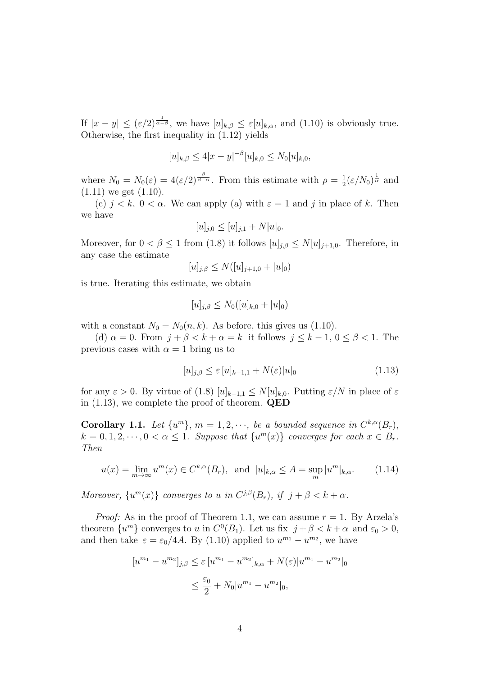If  $|x-y| \leq (\varepsilon/2)^{\frac{1}{\alpha-\beta}}$ , we have  $[u]_{k,\beta} \leq \varepsilon[u]_{k,\alpha}$ , and  $(1.10)$  is obviously true. Otherwise, the first inequality in (1.12) yields

$$
[u]_{k,\beta} \le 4|x-y|^{-\beta} [u]_{k,0} \le N_0[u]_{k,0},
$$

where  $N_0 = N_0(\varepsilon) = 4(\varepsilon/2)^{\frac{\beta}{\beta-\alpha}}$ . From this estimate with  $\rho = \frac{1}{2}$  $\frac{1}{2}(\varepsilon/N_0)^{\frac{1}{\alpha}}$  and  $(1.11)$  we get  $(1.10)$ .

(c)  $j < k$ ,  $0 < \alpha$ . We can apply (a) with  $\varepsilon = 1$  and j in place of k. Then we have

$$
[u]_{j,0} \le [u]_{j,1} + N|u|_0.
$$

Moreover, for  $0 < \beta \le 1$  from (1.8) it follows  $[u]_{j,\beta} \le N[u]_{j+1,0}$ . Therefore, in any case the estimate

$$
[u]_{j,\beta} \le N([u]_{j+1,0} + |u|_0)
$$

is true. Iterating this estimate, we obtain

$$
[u]_{j,\beta} \le N_0([u]_{k,0} + |u|_0)
$$

with a constant  $N_0 = N_0(n, k)$ . As before, this gives us (1.10).

(d)  $\alpha = 0$ . From  $j + \beta < k + \alpha = k$  it follows  $j \leq k - 1$ ,  $0 \leq \beta < 1$ . The previous cases with  $\alpha = 1$  bring us to

$$
[u]_{j,\beta} \le \varepsilon [u]_{k-1,1} + N(\varepsilon) |u|_0 \tag{1.13}
$$

for any  $\varepsilon > 0$ . By virtue of (1.8)  $[u]_{k-1,1} \leq N[u]_{k,0}$ . Putting  $\varepsilon/N$  in place of  $\varepsilon$ in  $(1.13)$ , we complete the proof of theorem. **QED** 

**Corollary 1.1.** Let  $\{u^m\}$ ,  $m = 1, 2, \dots$ , be a bounded sequence in  $C^{k,\alpha}(B_r)$ ,  $k = 0, 1, 2, \dots, 0 < \alpha \leq 1$ . Suppose that  $\{u^m(x)\}\)$  converges for each  $x \in B_r$ . Then

$$
u(x) = \lim_{m \to \infty} u^m(x) \in C^{k,\alpha}(B_r)
$$
, and  $|u|_{k,\alpha} \le A = \sup_m |u^m|_{k,\alpha}$ . (1.14)

Moreover,  $\{u^m(x)\}$  converges to u in  $C^{j,\beta}(B_r)$ , if  $j + \beta < k + \alpha$ .

*Proof:* As in the proof of Theorem 1.1, we can assume  $r = 1$ . By Arzela's theorem  $\{u^m\}$  converges to u in  $C^0(B_1)$ . Let us fix  $j + \beta < k + \alpha$  and  $\varepsilon_0 > 0$ , and then take  $\varepsilon = \varepsilon_0/4A$ . By (1.10) applied to  $u^{m_1} - u^{m_2}$ , we have

$$
[u^{m_1} - u^{m_2}]_{j,\beta} \le \varepsilon [u^{m_1} - u^{m_2}]_{k,\alpha} + N(\varepsilon) |u^{m_1} - u^{m_2}|_0
$$
  

$$
\le \frac{\varepsilon_0}{2} + N_0 |u^{m_1} - u^{m_2}|_0,
$$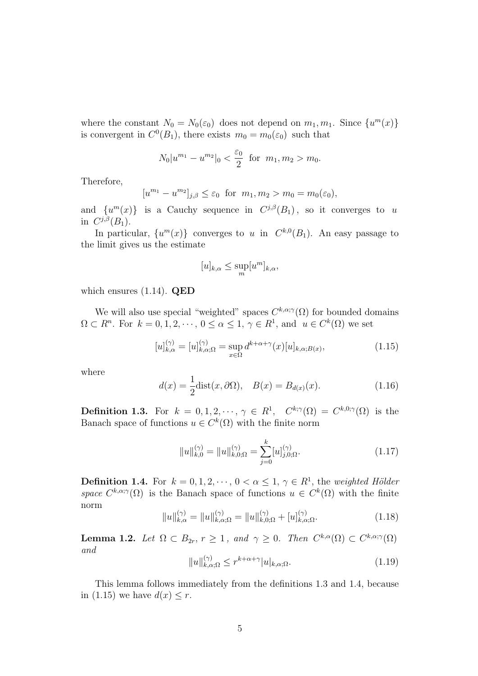where the constant  $N_0 = N_0(\varepsilon_0)$  does not depend on  $m_1, m_1$ . Since  $\{u^m(x)\}$ is convergent in  $C^0(B_1)$ , there exists  $m_0 = m_0(\varepsilon_0)$  such that

$$
N_0|u^{m_1} - u^{m_2}|_0 < \frac{\varepsilon_0}{2}
$$
 for  $m_1, m_2 > m_0$ .

Therefore,

$$
[u^{m_1} - u^{m_2}]_{j,\beta} \le \varepsilon_0 \text{ for } m_1, m_2 > m_0 = m_0(\varepsilon_0),
$$

and  $\{u^m(x)\}\$ is a Cauchy sequence in  $C^{j,\beta}(B_1)$ , so it converges to u in  $C^{j,\beta}(B_1)$ .

In particular,  $\{u^m(x)\}$  converges to u in  $C^{k,0}(B_1)$ . An easy passage to the limit gives us the estimate

$$
[u]_{k,\alpha}\leq \sup_m[u^m]_{k,\alpha},
$$

which ensures  $(1.14)$ . QED

We will also use special "weighted" spaces  $C^{k,\alpha;\gamma}(\Omega)$  for bounded domains  $\Omega \subset R^n$ . For  $k = 0, 1, 2, \dots, 0 \le \alpha \le 1, \gamma \in R^1$ , and  $u \in C^k(\Omega)$  we set

$$
[u]_{k,\alpha}^{(\gamma)} = [u]_{k,\alpha;\Omega}^{(\gamma)} = \sup_{x \in \Omega} d^{k+\alpha+\gamma}(x)[u]_{k,\alpha;\mathcal{B}(x)},\tag{1.15}
$$

where

$$
d(x) = \frac{1}{2}\text{dist}(x,\partial\Omega), \quad B(x) = B_{d(x)}(x). \tag{1.16}
$$

**Definition 1.3.** For  $k = 0, 1, 2, \dots, \gamma \in R^1$ ,  $C^{k;\gamma}(\Omega) = C^{k,0;\gamma}(\Omega)$  is the Banach space of functions  $u \in C^k(\Omega)$  with the finite norm

$$
||u||_{k,0}^{(\gamma)} = ||u||_{k,0;\Omega}^{(\gamma)} = \sum_{j=0}^{k} [u]_{j,0;\Omega}^{(\gamma)}.
$$
\n(1.17)

**Definition 1.4.** For  $k = 0, 1, 2, \dots, 0 < \alpha \leq 1, \gamma \in R^1$ , the weighted Hölder space  $C^{k,\alpha;\gamma}(\Omega)$  is the Banach space of functions  $u \in C^k(\Omega)$  with the finite norm

$$
||u||_{k,\alpha}^{(\gamma)} = ||u||_{k,\alpha;\Omega}^{(\gamma)} = ||u||_{k,0;\Omega}^{(\gamma)} + [u]_{k,\alpha;\Omega}^{(\gamma)}.
$$
\n(1.18)

**Lemma 1.2.** Let  $\Omega \subset B_{2r}, r \geq 1$ , and  $\gamma \geq 0$ . Then  $C^{k,\alpha}(\Omega) \subset C^{k,\alpha;\gamma}(\Omega)$ and

$$
||u||_{k,\alpha;\Omega}^{(\gamma)} \le r^{k+\alpha+\gamma}|u|_{k,\alpha;\Omega}.\tag{1.19}
$$

This lemma follows immediately from the definitions 1.3 and 1.4, because in  $(1.15)$  we have  $d(x) \leq r$ .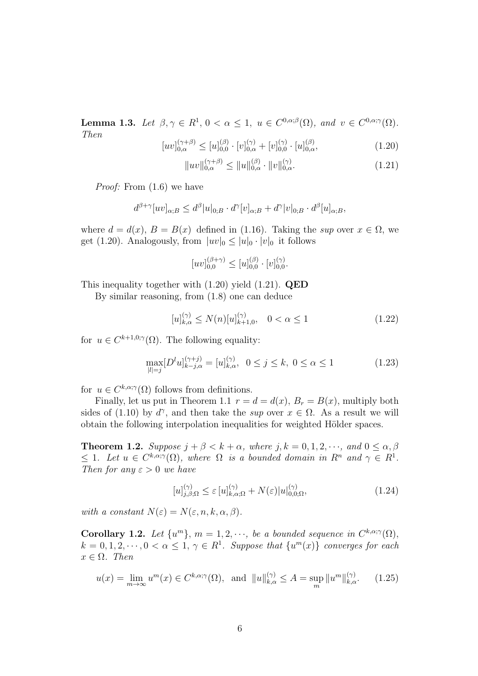**Lemma 1.3.** Let  $\beta, \gamma \in R^1$ ,  $0 < \alpha \leq 1$ ,  $u \in C^{0,\alpha;\beta}(\Omega)$ , and  $v \in C^{0,\alpha;\gamma}(\Omega)$ . Then

$$
[uv]_{0,\alpha}^{(\gamma+\beta)} \le [u]_{0,0}^{(\beta)} \cdot [v]_{0,\alpha}^{(\gamma)} + [v]_{0,0}^{(\gamma)} \cdot [u]_{0,\alpha}^{(\beta)}, \qquad (1.20)
$$

$$
||uv||_{0,\alpha}^{(\gamma+\beta)} \le ||u||_{0,\alpha}^{(\beta)} \cdot ||v||_{0,\alpha}^{(\gamma)}.
$$
\n(1.21)

Proof: From (1.6) we have

$$
d^{\beta+\gamma}[uv]_{\alpha;B} \leq d^{\beta}|u|_{0;B} \cdot d^{\gamma}[v]_{\alpha;B} + d^{\gamma}|v|_{0;B} \cdot d^{\beta}[u]_{\alpha;B},
$$

where  $d = d(x)$ ,  $B = B(x)$  defined in (1.16). Taking the sup over  $x \in \Omega$ , we get (1.20). Analogously, from  $|uv|_0 \leq |u|_0 \cdot |v|_0$  it follows

$$
[uv]_{0,0}^{(\beta+\gamma)} \le [u]_{0,0}^{(\beta)} \cdot [v]_{0,0}^{(\gamma)}.
$$

This inequality together with  $(1.20)$  yield  $(1.21)$ . QED

By similar reasoning, from (1.8) one can deduce

$$
[u]_{k,\alpha}^{(\gamma)} \le N(n)[u]_{k+1,0}^{(\gamma)}, \quad 0 < \alpha \le 1 \tag{1.22}
$$

for  $u \in C^{k+1,0;\gamma}(\Omega)$ . The following equality:

$$
\max_{|l|=j} [D^l u]_{k-j,\alpha}^{(\gamma+j)} = [u]_{k,\alpha}^{(\gamma)}, \ \ 0 \le j \le k, \ 0 \le \alpha \le 1 \tag{1.23}
$$

for  $u \in C^{k,\alpha;\gamma}(\Omega)$  follows from definitions.

Finally, let us put in Theorem 1.1  $r = d = d(x)$ ,  $B_r = B(x)$ , multiply both sides of (1.10) by  $d^{\gamma}$ , and then take the sup over  $x \in \Omega$ . As a result we will obtain the following interpolation inequalities for weighted Hölder spaces.

**Theorem 1.2.** Suppose  $j + \beta < k + \alpha$ , where  $j, k = 0, 1, 2, \dots$ , and  $0 \leq \alpha, \beta$  $\leq 1$ . Let  $u \in C^{k,\alpha;\gamma}(\Omega)$ , where  $\Omega$  is a bounded domain in  $R^n$  and  $\gamma \in R^1$ . Then for any  $\varepsilon > 0$  we have

$$
[u]_{j,\beta;\Omega}^{(\gamma)} \le \varepsilon \left[ u \right]_{k,\alpha;\Omega}^{(\gamma)} + N(\varepsilon) |u|_{0,0;\Omega}^{(\gamma)}, \tag{1.24}
$$

with a constant  $N(\varepsilon) = N(\varepsilon, n, k, \alpha, \beta)$ .

**Corollary 1.2.** Let  $\{u^m\}$ ,  $m = 1, 2, \dots$ , be a bounded sequence in  $C^{k,\alpha;\gamma}(\Omega)$ ,  $k = 0, 1, 2, \dots, 0 < \alpha \leq 1, \gamma \in R^1$ . Suppose that  $\{u^m(x)\}\)$  converges for each  $x \in \Omega$ . Then

$$
u(x) = \lim_{m \to \infty} u^m(x) \in C^{k,\alpha;\gamma}(\Omega), \text{ and } \|u\|_{k,\alpha}^{(\gamma)} \le A = \sup_m \|u^m\|_{k,\alpha}^{(\gamma)}.
$$
 (1.25)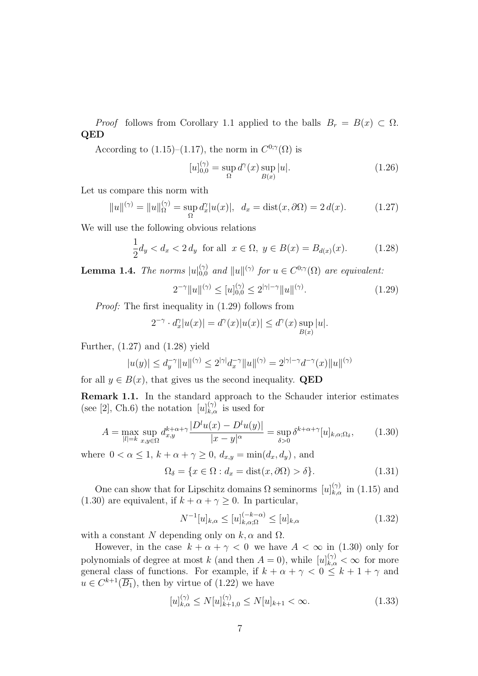*Proof* follows from Corollary 1.1 applied to the balls  $B_r = B(x) \subset \Omega$ . QED

According to (1.15)–(1.17), the norm in  $C^{0;\gamma}(\Omega)$  is

$$
[u]_{0,0}^{(\gamma)} = \sup_{\Omega} d^{\gamma}(x) \sup_{B(x)} |u|.
$$
 (1.26)

Let us compare this norm with

$$
||u||^{(\gamma)} = ||u||_{\Omega}^{(\gamma)} = \sup_{\Omega} d_x^{\gamma} |u(x)|, \quad d_x = \text{dist}(x, \partial \Omega) = 2 d(x). \tag{1.27}
$$

We will use the following obvious relations

$$
\frac{1}{2}d_y < d_x < 2\,d_y \quad \text{for all} \quad x \in \Omega, \ y \in B(x) = B_{d(x)}(x). \tag{1.28}
$$

**Lemma 1.4.** The norms  $|u|_{0,0}^{(\gamma)}$  and  $||u||^{(\gamma)}$  for  $u \in C^{0,\gamma}(\Omega)$  are equivalent:

$$
2^{-\gamma} \|u\|^{(\gamma)} \le [u]_{0,0}^{(\gamma)} \le 2^{|\gamma|-\gamma} \|u\|^{(\gamma)}.
$$
 (1.29)

Proof: The first inequality in (1.29) follows from

$$
2^{-\gamma} \cdot d_x^{\gamma} |u(x)| = d^{\gamma}(x) |u(x)| \le d^{\gamma}(x) \sup_{B(x)} |u|.
$$

Further,  $(1.27)$  and  $(1.28)$  yield

$$
|u(y)| \le d_y^{-\gamma} ||u||^{(\gamma)} \le 2^{|\gamma|} d_x^{-\gamma} ||u||^{(\gamma)} = 2^{|\gamma|-\gamma} d^{-\gamma}(x) ||u||^{(\gamma)}
$$

for all  $y \in B(x)$ , that gives us the second inequality. **QED** 

**Remark 1.1.** In the standard approach to the Schauder interior estimates (see [2], Ch.6) the notation  $[u]_{k,\alpha}^{(\gamma)}$  is used for

$$
A = \max_{|l|=k} \sup_{x,y \in \Omega} d_{x,y}^{k+\alpha+\gamma} \frac{|D^l u(x) - D^l u(y)|}{|x - y|^{\alpha}} = \sup_{\delta > 0} \delta^{k+\alpha+\gamma} [u]_{k,\alpha;\Omega_{\delta}},\tag{1.30}
$$

where  $0 < \alpha \leq 1$ ,  $k + \alpha + \gamma \geq 0$ ,  $d_{x,y} = \min(d_x, d_y)$ , and

$$
\Omega_{\delta} = \{ x \in \Omega : d_x = \text{dist}(x, \partial \Omega) > \delta \}. \tag{1.31}
$$

One can show that for Lipschitz domains  $\Omega$  seminorms  $[u]_{k,\alpha}^{(\gamma)}$  in (1.15) and (1.30) are equivalent, if  $k + \alpha + \gamma \geq 0$ . In particular,

$$
N^{-1}[u]_{k,\alpha} \le [u]_{k,\alpha;\Omega}^{(-k-\alpha)} \le [u]_{k,\alpha}
$$
\n(1.32)

with a constant N depending only on  $k, \alpha$  and  $\Omega$ .

However, in the case  $k + \alpha + \gamma < 0$  we have  $A < \infty$  in (1.30) only for polynomials of degree at most k (and then  $A = 0$ ), while  $[u]_{k,\alpha}^{(\gamma)} < \infty$  for more general class of functions. For example, if  $k + \alpha + \gamma < 0 \leq k + 1 + \gamma$  and  $u \in C^{k+1}(\overline{B_1})$ , then by virtue of  $(1.22)$  we have

$$
[u]_{k,\alpha}^{(\gamma)} \le N[u]_{k+1,0}^{(\gamma)} \le N[u]_{k+1} < \infty. \tag{1.33}
$$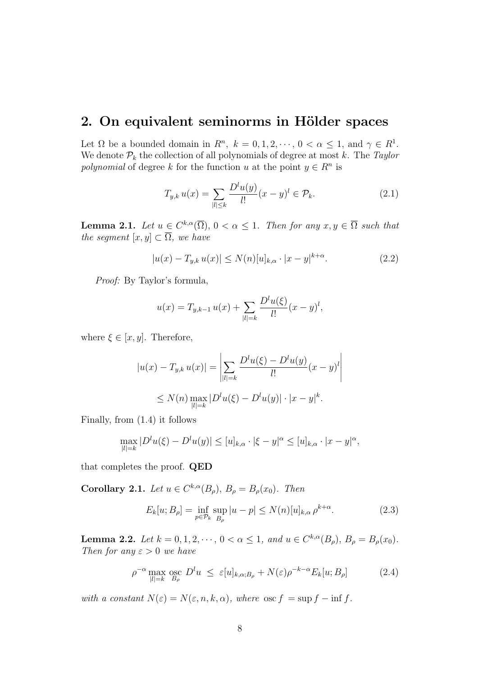# 2. On equivalent seminorms in Hölder spaces

Let  $\Omega$  be a bounded domain in  $R^n$ ,  $k = 0, 1, 2, \dots, 0 < \alpha \leq 1$ , and  $\gamma \in R^1$ . We denote  $P_k$  the collection of all polynomials of degree at most k. The Taylor polynomial of degree k for the function u at the point  $y \in R^n$  is

$$
T_{y,k} u(x) = \sum_{|l| \le k} \frac{D^l u(y)}{l!} (x - y)^l \in \mathcal{P}_k.
$$
 (2.1)

**Lemma 2.1.** Let  $u \in C^{k,\alpha}(\overline{\Omega})$ ,  $0 < \alpha \leq 1$ . Then for any  $x, y \in \overline{\Omega}$  such that the segment  $[x, y] \subset \overline{\Omega}$ , we have

$$
|u(x) - T_{y,k} u(x)| \le N(n)[u]_{k,\alpha} \cdot |x - y|^{k+\alpha}.
$$
 (2.2)

Proof: By Taylor's formula,

$$
u(x) = T_{y,k-1} u(x) + \sum_{|l|=k} \frac{D^l u(\xi)}{l!} (x - y)^l,
$$

where  $\xi \in [x, y]$ . Therefore,

$$
|u(x) - T_{y,k} u(x)| = \left| \sum_{|l|=k} \frac{D^l u(\xi) - D^l u(y)}{l!} (x - y)^l \right|
$$
  
 
$$
\leq N(n) \max_{|l|=k} |D^l u(\xi) - D^l u(y)| \cdot |x - y|^k.
$$

Finally, from (1.4) it follows

$$
\max_{|l|=k} |D^l u(\xi) - D^l u(y)| \le [u]_{k,\alpha} \cdot |\xi - y|^{\alpha} \le [u]_{k,\alpha} \cdot |x - y|^{\alpha},
$$

that completes the proof. QED

**Corollary 2.1.** Let  $u \in C^{k,\alpha}(B_\rho)$ ,  $B_\rho = B_\rho(x_0)$ . Then

$$
E_k[u; B_\rho] = \inf_{p \in \mathcal{P}_k} \sup_{B_\rho} |u - p| \le N(n)[u]_{k,\alpha} \rho^{k+\alpha}.
$$
 (2.3)

**Lemma 2.2.** Let  $k = 0, 1, 2, \dots, 0 < \alpha \le 1$ , and  $u \in C^{k, \alpha}(B_{\rho}), B_{\rho} = B_{\rho}(x_0)$ . Then for any  $\varepsilon > 0$  we have

$$
\rho^{-\alpha} \max_{|l|=k} \operatorname{osc}_{B_{\rho}} D^l u \leq \varepsilon [u]_{k,\alpha;B_{\rho}} + N(\varepsilon) \rho^{-k-\alpha} E_k[u;B_{\rho}] \tag{2.4}
$$

with a constant  $N(\varepsilon) = N(\varepsilon, n, k, \alpha)$ , where  $\csc f = \sup f - \inf f$ .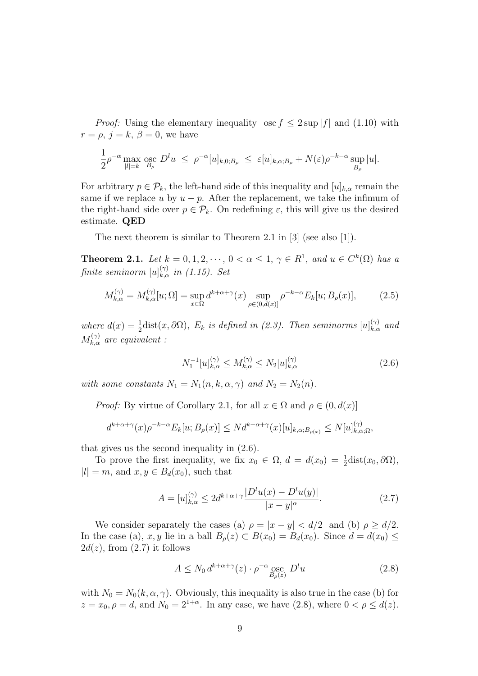*Proof:* Using the elementary inequality  $\csc f \leq 2 \sup |f|$  and (1.10) with  $r = \rho, j = k, \beta = 0$ , we have

$$
\frac{1}{2}\rho^{-\alpha}\max_{|l|=k}\operatorname*{osc}_{B_{\rho}}D^{l}u\ \leq\ \rho^{-\alpha}[u]_{k,0;B_{\rho}}\ \leq\ \varepsilon[u]_{k,\alpha;B_{\rho}}+N(\varepsilon)\rho^{-k-\alpha}\sup_{B_{\rho}}|u|.
$$

For arbitrary  $p \in \mathcal{P}_k$ , the left-hand side of this inequality and  $[u]_{k,\alpha}$  remain the same if we replace u by  $u - p$ . After the replacement, we take the infimum of the right-hand side over  $p \in \mathcal{P}_k$ . On redefining  $\varepsilon$ , this will give us the desired estimate. QED

The next theorem is similar to Theorem 2.1 in [3] (see also [1]).

**Theorem 2.1.** Let  $k = 0, 1, 2, \dots, 0 < \alpha \leq 1, \gamma \in R^1$ , and  $u \in C^k(\Omega)$  has a finite seminorm  $[u]_{k,\alpha}^{(\gamma)}$  in (1.15). Set

$$
M_{k,\alpha}^{(\gamma)} = M_{k,\alpha}^{(\gamma)}[u;\Omega] = \sup_{x \in \Omega} d^{k+\alpha+\gamma}(x) \sup_{\rho \in (0,d(x)]} \rho^{-k-\alpha} E_k[u;B_{\rho}(x)],\tag{2.5}
$$

where  $d(x) = \frac{1}{2}$ dist $(x, \partial\Omega)$ ,  $E_k$  is defined in (2.3). Then seminorms  $[u]_{k,\alpha}^{(\gamma)}$  and  $M_{k,\alpha}^{(\gamma)}$  are equivalent :

$$
N_1^{-1}[u]_{k,\alpha}^{(\gamma)} \le M_{k,\alpha}^{(\gamma)} \le N_2[u]_{k,\alpha}^{(\gamma)} \tag{2.6}
$$

with some constants  $N_1 = N_1(n, k, \alpha, \gamma)$  and  $N_2 = N_2(n)$ .

*Proof:* By virtue of Corollary 2.1, for all  $x \in \Omega$  and  $\rho \in (0, d(x)]$ 

$$
d^{k+\alpha+\gamma}(x)\rho^{-k-\alpha}E_k[u;B_{\rho}(x)] \leq N d^{k+\alpha+\gamma}(x)[u]_{k,\alpha;B_{\rho(x)}} \leq N[u]_{k,\alpha;\Omega}^{(\gamma)},
$$

that gives us the second inequality in (2.6).

To prove the first inequality, we fix  $x_0 \in \Omega$ ,  $d = d(x_0) = \frac{1}{2} \text{dist}(x_0, \partial \Omega)$ ,  $|l| = m$ , and  $x, y \in B_d(x_0)$ , such that

$$
A = [u]_{k,\alpha}^{(\gamma)} \le 2d^{k+\alpha+\gamma} \frac{|D^l u(x) - D^l u(y)|}{|x - y|^{\alpha}}.
$$
 (2.7)

We consider separately the cases (a)  $\rho = |x - y| < d/2$  and (b)  $\rho \ge d/2$ . In the case (a), x, y lie in a ball  $B_{\rho}(z) \subset B(x_0) = B_d(x_0)$ . Since  $d = d(x_0) \leq$  $2d(z)$ , from  $(2.7)$  it follows

$$
A \le N_0 d^{k+\alpha+\gamma}(z) \cdot \rho^{-\alpha} \underset{B_{\rho}(z)}{\text{osc}} D^l u \tag{2.8}
$$

with  $N_0 = N_0(k, \alpha, \gamma)$ . Obviously, this inequality is also true in the case (b) for  $z = x_0, \rho = d$ , and  $N_0 = 2^{1+\alpha}$ . In any case, we have  $(2.8)$ , where  $0 < \rho \leq d(z)$ .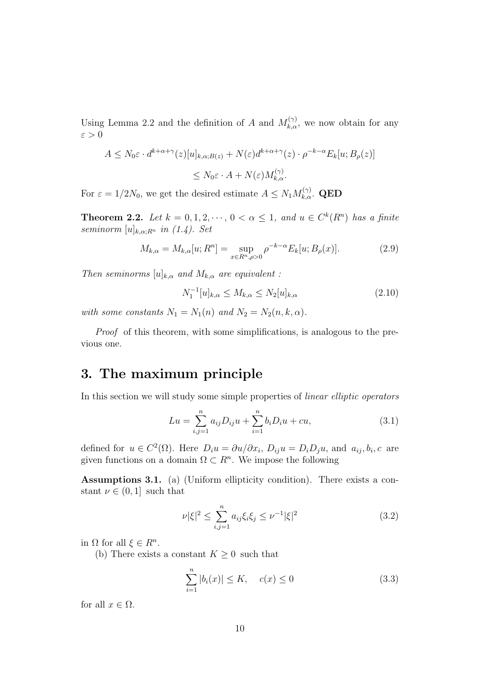Using Lemma 2.2 and the definition of A and  $M_{k,\alpha}^{(\gamma)}$ , we now obtain for any  $\varepsilon > 0$ 

$$
A \le N_0 \varepsilon \cdot d^{k+\alpha+\gamma}(z)[u]_{k,\alpha;B(z)} + N(\varepsilon)d^{k+\alpha+\gamma}(z) \cdot \rho^{-k-\alpha} E_k[u;B_\rho(z)]
$$
  

$$
\le N_0 \varepsilon \cdot A + N(\varepsilon)M_{k,\alpha}^{(\gamma)}.
$$

For  $\varepsilon = 1/2N_0$ , we get the desired estimate  $A \leq N_1 M_{k,\alpha}^{(\gamma)}$ . QED

**Theorem 2.2.** Let  $k = 0, 1, 2, \dots, 0 < \alpha \leq 1$ , and  $u \in C^{k}(R^{n})$  has a finite seminorm  $[u]_{k,\alpha;R^n}$  in  $(1.4)$ . Set

$$
M_{k,\alpha} = M_{k,\alpha}[u;R^n] = \sup_{x \in R^n, \rho > 0} \rho^{-k-\alpha} E_k[u;B_\rho(x)].\tag{2.9}
$$

Then seminorms  $[u]_{k,\alpha}$  and  $M_{k,\alpha}$  are equivalent :

$$
N_1^{-1}[u]_{k,\alpha} \le M_{k,\alpha} \le N_2[u]_{k,\alpha} \tag{2.10}
$$

with some constants  $N_1 = N_1(n)$  and  $N_2 = N_2(n, k, \alpha)$ .

Proof of this theorem, with some simplifications, is analogous to the previous one.

# 3. The maximum principle

In this section we will study some simple properties of linear elliptic operators

$$
Lu = \sum_{i,j=1}^{n} a_{ij} D_{ij}u + \sum_{i=1}^{n} b_i D_i u + cu,
$$
\n(3.1)

defined for  $u \in C^2(\Omega)$ . Here  $D_i u = \partial u / \partial x_i$ ,  $D_{ij} u = D_i D_j u$ , and  $a_{ij}, b_i, c$  are given functions on a domain  $\Omega \subset \mathbb{R}^n$ . We impose the following

Assumptions 3.1. (a) (Uniform ellipticity condition). There exists a constant  $\nu \in (0,1]$  such that

$$
\nu |\xi|^2 \le \sum_{i,j=1}^n a_{ij} \xi_i \xi_j \le \nu^{-1} |\xi|^2 \tag{3.2}
$$

in  $\Omega$  for all  $\xi \in R^n$ .

(b) There exists a constant  $K \geq 0$  such that

$$
\sum_{i=1}^{n} |b_i(x)| \le K, \quad c(x) \le 0 \tag{3.3}
$$

for all  $x \in \Omega$ .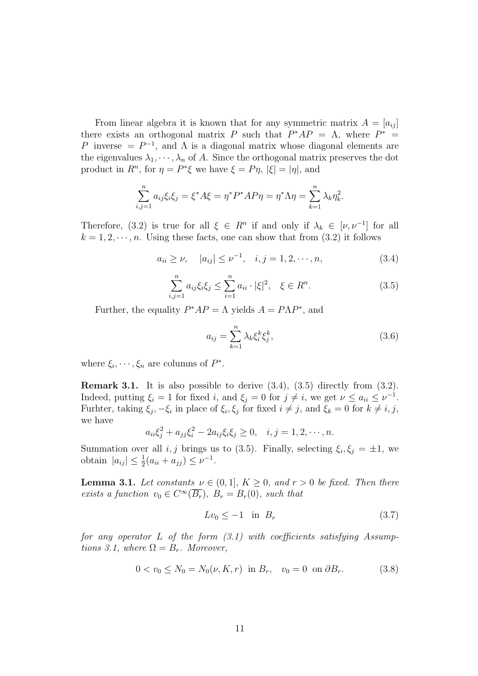From linear algebra it is known that for any symmetric matrix  $A = [a_{ij}]$ there exists an orthogonal matrix P such that  $P^*AP = \Lambda$ , where  $P^* =$ P inverse =  $P^{-1}$ , and  $\Lambda$  is a diagonal matrix whose diagonal elements are the eigenvalues  $\lambda_1, \dots, \lambda_n$  of A. Since the orthogonal matrix preserves the dot product in  $R^n$ , for  $\eta = P^*\xi$  we have  $\xi = P\eta$ ,  $|\xi| = |\eta|$ , and

$$
\sum_{i,j=1}^{n} a_{ij} \xi_i \xi_j = \xi^* A \xi = \eta^* P^* A P \eta = \eta^* \Lambda \eta = \sum_{k=1}^{n} \lambda_k \eta_k^2.
$$

Therefore, (3.2) is true for all  $\xi \in R^n$  if and only if  $\lambda_k \in [\nu, \nu^{-1}]$  for all  $k = 1, 2, \dots, n$ . Using these facts, one can show that from (3.2) it follows

$$
a_{ii} \ge \nu, \quad |a_{ij}| \le \nu^{-1}, \quad i, j = 1, 2, \cdots, n,
$$
\n(3.4)

$$
\sum_{i,j=1}^{n} a_{ij} \xi_i \xi_j \le \sum_{i=1}^{n} a_{ii} \cdot |\xi|^2, \quad \xi \in R^n.
$$
 (3.5)

Further, the equality  $P^*AP = \Lambda$  yields  $A = P\Lambda P^*$ , and

$$
a_{ij} = \sum_{k=1}^{n} \lambda_k \xi_i^k \xi_j^k, \qquad (3.6)
$$

where  $\xi_i, \dots, \xi_n$  are columns of  $P^*$ .

**Remark 3.1.** It is also possible to derive  $(3.4)$ ,  $(3.5)$  directly from  $(3.2)$ . Indeed, putting  $\xi_i = 1$  for fixed i, and  $\xi_j = 0$  for  $j \neq i$ , we get  $\nu \leq a_{ii} \leq \nu^{-1}$ . Furhter, taking  $\xi_j, -\xi_i$  in place of  $\xi_i, \xi_j$  for fixed  $i \neq j$ , and  $\xi_k = 0$  for  $k \neq i, j$ , we have

$$
a_{ii}\xi_j^2 + a_{jj}\xi_i^2 - 2a_{ij}\xi_i\xi_j \ge 0, \quad i, j = 1, 2, \cdots, n.
$$

Summation over all *i*, *j* brings us to (3.5). Finally, selecting  $\xi_i, \xi_j = \pm 1$ , we obtain  $|a_{ij}| \leq \frac{1}{2}(a_{ii} + a_{jj}) \leq \nu^{-1}$ .

**Lemma 3.1.** Let constants  $\nu \in (0,1], K \geq 0$ , and  $r > 0$  be fixed. Then there exists a function  $v_0 \in C^{\infty}(\overline{B_r})$ ,  $B_r = B_r(0)$ , such that

$$
Lv_0 \le -1 \quad \text{in} \quad B_r \tag{3.7}
$$

for any operator L of the form  $(3.1)$  with coefficients satisfying Assumptions 3.1, where  $\Omega = B_r$ . Moreover,

$$
0 < v_0 \le N_0 = N_0(\nu, K, r) \quad \text{in } B_r, \quad v_0 = 0 \quad \text{on } \partial B_r. \tag{3.8}
$$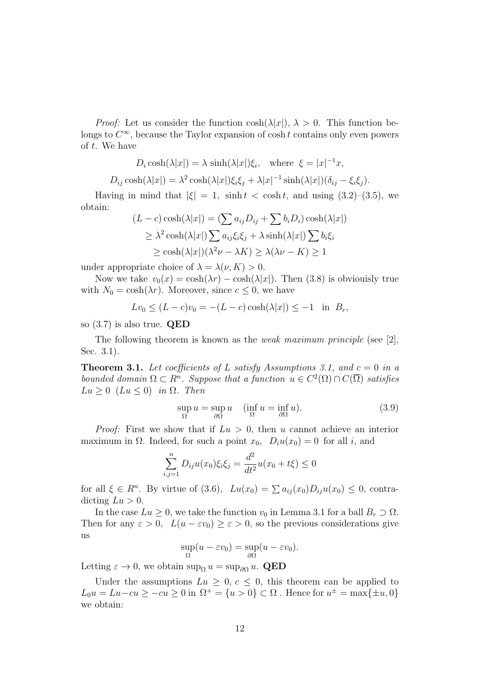*Proof:* Let us consider the function  $\cosh(\lambda|x|)$ ,  $\lambda > 0$ . This function belongs to  $C^{\infty}$ , because the Taylor expansion of cosh t contains only even powers of t. We have

$$
D_i \cosh(\lambda |x|) = \lambda \sinh(\lambda |x|) \xi_i
$$
, where  $\xi = |x|^{-1}x$ ,

 $D_{ij}\cosh(\lambda|x|) = \lambda^2 \cosh(\lambda|x|) \xi_i \xi_j + \lambda|x|^{-1} \sinh(\lambda|x|) (\delta_{ij} - \xi_i \xi_j).$ 

Having in mind that  $|\xi| = 1$ , sinh  $t < \cosh t$ , and using  $(3.2)$ – $(3.5)$ , we obtain:

$$
(L - c) \cosh(\lambda |x|) = (\sum a_{ij} D_{ij} + \sum b_i D_i) \cosh(\lambda |x|)
$$
  
\n
$$
\geq \lambda^2 \cosh(\lambda |x|) \sum a_{ij} \xi_i \xi_j + \lambda \sinh(\lambda |x|) \sum b_i \xi_i
$$
  
\n
$$
\geq \cosh(\lambda |x|) (\lambda^2 \nu - \lambda K) \geq \lambda (\lambda \nu - K) \geq 1
$$

under appropriate choice of  $\lambda = \lambda(\nu, K) > 0$ .

Now we take  $v_0(x) = \cosh(\lambda r) - \cosh(\lambda |x|)$ . Then (3.8) is obviouisly true with  $N_0 = \cosh(\lambda r)$ . Moreover, since  $c \leq 0$ , we have

$$
Lv_0 \le (L - c)v_0 = -(L - c)\cosh(\lambda|x|) \le -1 \quad \text{in} \quad B_r,
$$

so (3.7) is also true. QED

The following theorem is known as the weak maximum principle (see [2], Sec. 3.1).

**Theorem 3.1.** Let coefficients of L satisfy Assumptions 3.1, and  $c = 0$  in a bounded domain  $\Omega \subset \mathbb{R}^n$ . Suppose that a function  $u \in C^2(\Omega) \cap C(\overline{\Omega})$  satisfies  $Lu \geq 0$   $(Lu \leq 0)$  in  $\Omega$ . Then

$$
\sup_{\Omega} u = \sup_{\partial \Omega} u \quad (\inf_{\Omega} u = \inf_{\partial \Omega} u). \tag{3.9}
$$

*Proof:* First we show that if  $Lu > 0$ , then u cannot achieve an interior maximum in  $\Omega$ . Indeed, for such a point  $x_0$ ,  $D_i u(x_0) = 0$  for all i, and

$$
\sum_{i,j=1}^{n} D_{ij} u(x_0) \xi_i \xi_j = \frac{d^2}{dt^2} u(x_0 + t\xi) \le 0
$$

for all  $\xi \in R^n$ . By virtue of (3.6),  $Lu(x_0) = \sum a_{ij}(x_0)D_{ij}u(x_0) \leq 0$ , contradicting  $Lu > 0$ .

In the case  $Lu \geq 0$ , we take the function  $v_0$  in Lemma 3.1 for a ball  $B_r \supset \Omega$ . Then for any  $\varepsilon > 0$ ,  $L(u - \varepsilon v_0) \ge \varepsilon > 0$ , so the previous considerations give us

$$
\sup_{\Omega}(u - \varepsilon v_0) = \sup_{\partial\Omega}(u - \varepsilon v_0).
$$

Letting  $\varepsilon \to 0$ , we obtain sup<sub> $\Omega$ </sub>  $u = \sup_{\partial \Omega} u$ . **QED** 

Under the assumptions  $Lu \geq 0, c \leq 0$ , this theorem can be applied to  $L_0u = Lu - cu \ge -cu \ge 0$  in  $\Omega^+ = \{u > 0\} \subset \Omega$ . Hence for  $u^{\pm} = \max\{\pm u, 0\}$ we obtain: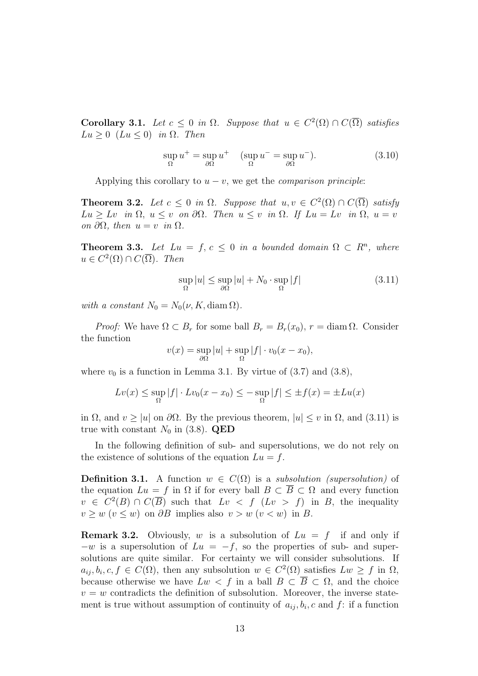**Corollary 3.1.** Let  $c \leq 0$  in  $\Omega$ . Suppose that  $u \in C^2(\Omega) \cap C(\overline{\Omega})$  satisfies  $Lu \geq 0$   $(Lu \leq 0)$  in  $\Omega$ . Then

$$
\sup_{\Omega} u^{+} = \sup_{\partial \Omega} u^{+} \quad (\sup_{\Omega} u^{-} = \sup_{\partial \Omega} u^{-}). \tag{3.10}
$$

Applying this corollary to  $u - v$ , we get the *comparison principle*:

**Theorem 3.2.** Let  $c \leq 0$  in  $\Omega$ . Suppose that  $u, v \in C^2(\Omega) \cap C(\overline{\Omega})$  satisfy  $Lu \ge Lv$  in  $\Omega$ ,  $u \le v$  on  $\partial\Omega$ . Then  $u \le v$  in  $\Omega$ . If  $Lu = Lv$  in  $\Omega$ ,  $u = v$ on  $\partial\Omega$ , then  $u = v$  in  $\Omega$ .

**Theorem 3.3.** Let  $Lu = f, c \leq 0$  in a bounded domain  $\Omega \subset R^n$ , where  $u \in C^2(\Omega) \cap C(\overline{\Omega})$ . Then

$$
\sup_{\Omega} |u| \le \sup_{\partial \Omega} |u| + N_0 \cdot \sup_{\Omega} |f| \tag{3.11}
$$

with a constant  $N_0 = N_0(\nu, K, \text{diam }\Omega)$ .

*Proof:* We have  $\Omega \subset B_r$  for some ball  $B_r = B_r(x_0)$ ,  $r = \text{diam }\Omega$ . Consider the function

$$
v(x) = \sup_{\partial\Omega} |u| + \sup_{\Omega} |f| \cdot v_0(x - x_0),
$$

where  $v_0$  is a function in Lemma 3.1. By virtue of (3.7) and (3.8),

$$
Lv(x) \le \sup_{\Omega} |f| \cdot Lv_0(x - x_0) \le -\sup_{\Omega} |f| \le \pm f(x) = \pm Lu(x)
$$

in  $\Omega$ , and  $v \ge |u|$  on  $\partial\Omega$ . By the previous theorem,  $|u| \le v$  in  $\Omega$ , and (3.11) is true with constant  $N_0$  in (3.8). QED

In the following definition of sub- and supersolutions, we do not rely on the existence of solutions of the equation  $Lu = f$ .

**Definition 3.1.** A function  $w \in C(\Omega)$  is a subsolution (supersolution) of the equation  $Lu = f$  in  $\Omega$  if for every ball  $B \subset \overline{B} \subset \Omega$  and every function  $v \in C^2(B) \cap C(\overline{B})$  such that  $Lv < f (Lv > f)$  in B, the inequality  $v \geq w$   $(v \leq w)$  on  $\partial B$  implies also  $v > w$   $(v < w)$  in B.

**Remark 3.2.** Obviously, w is a subsolution of  $Lu = f$  if and only if  $-w$  is a supersolution of  $Lu = -f$ , so the properties of sub- and supersolutions are quite similar. For certainty we will consider subsolutions. If  $a_{ij}, b_i, c, f \in C(\Omega)$ , then any subsolution  $w \in C^2(\Omega)$  satisfies  $Lw \ge f$  in  $\Omega$ , because otherwise we have  $Lw < f$  in a ball  $B \subset \overline{B} \subset \Omega$ , and the choice  $v = w$  contradicts the definition of subsolution. Moreover, the inverse statement is true without assumption of continuity of  $a_{ij}, b_i, c$  and f: if a function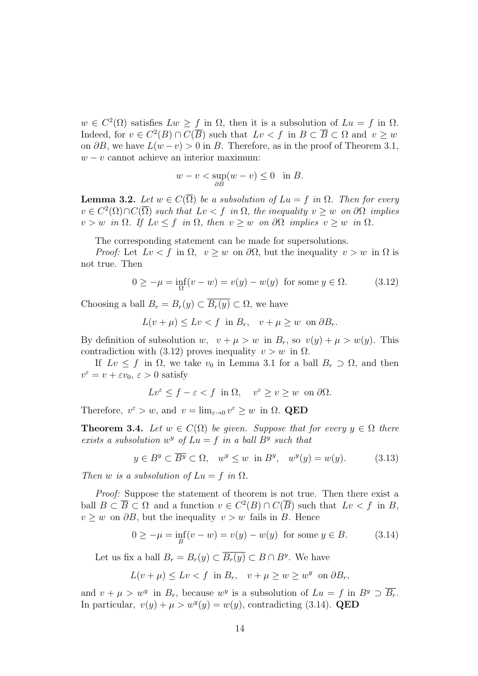$w \in C^2(\Omega)$  satisfies  $Lw \ge f$  in  $\Omega$ , then it is a subsolution of  $Lu = f$  in  $\Omega$ . Indeed, for  $v \in C^2(B) \cap C(\overline{B})$  such that  $Lv < f$  in  $B \subset \overline{B} \subset \Omega$  and  $v \geq w$ on  $\partial B$ , we have  $L(w-v) > 0$  in B. Therefore, as in the proof of Theorem 3.1,  $w - v$  cannot achieve an interior maximum:

$$
w - v < \sup_{\partial B} (w - v) \le 0 \quad \text{in } B.
$$

**Lemma 3.2.** Let  $w \in C(\overline{\Omega})$  be a subsolution of  $Lu = f$  in  $\Omega$ . Then for every  $v \in C^2(\Omega) \cap C(\overline{\Omega})$  such that  $Lv < f$  in  $\Omega$ , the inequality  $v \geq w$  on  $\partial \Omega$  implies  $v > w$  in  $\Omega$ . If  $Lv \leq f$  in  $\Omega$ , then  $v \geq w$  on  $\partial\Omega$  implies  $v \geq w$  in  $\Omega$ .

The corresponding statement can be made for supersolutions.

*Proof:* Let  $Lv < f$  in  $\Omega$ ,  $v \geq w$  on  $\partial\Omega$ , but the inequality  $v > w$  in  $\Omega$  is not true. Then

$$
0 \ge -\mu = \inf_{\Omega}(v - w) = v(y) - w(y) \text{ for some } y \in \Omega.
$$
 (3.12)

Choosing a ball  $B_r = B_r(y) \subset \overline{B_r(y)} \subset \Omega$ , we have

$$
L(v + \mu) \le Lv < f \text{ in } B_r, \quad v + \mu \ge w \text{ on } \partial B_r.
$$

By definition of subsolution w,  $v + \mu > w$  in  $B_r$ , so  $v(y) + \mu > w(y)$ . This contradiction with (3.12) proves inequality  $v > w$  in  $\Omega$ .

If  $Lv \leq f$  in  $\Omega$ , we take  $v_0$  in Lemma 3.1 for a ball  $B_r \supset \Omega$ , and then  $v^{\varepsilon} = v + \varepsilon v_0, \, \varepsilon > 0$  satisfy

$$
Lv^{\varepsilon} \leq f - \varepsilon < f
$$
 in  $\Omega$ ,  $v^{\varepsilon} \geq v \geq w$  on  $\partial\Omega$ .

Therefore,  $v^{\varepsilon} > w$ , and  $v = \lim_{\varepsilon \to 0} v^{\varepsilon} \geq w$  in  $\Omega$ . **QED** 

**Theorem 3.4.** Let  $w \in C(\Omega)$  be given. Suppose that for every  $y \in \Omega$  there exists a subsolution  $w^y$  of  $Lu = f$  in a ball  $B^y$  such that

$$
y \in B^y \subset \overline{B^y} \subset \Omega, \quad w^y \le w \text{ in } B^y, \quad w^y(y) = w(y). \tag{3.13}
$$

Then w is a subsolution of  $Lu = f$  in  $\Omega$ .

Proof: Suppose the statement of theorem is not true. Then there exist a ball  $B \subset \overline{B} \subset \Omega$  and a function  $v \in C^2(B) \cap C(\overline{B})$  such that  $Lv < f$  in B,  $v \geq w$  on  $\partial B$ , but the inequality  $v > w$  fails in B. Hence

$$
0 \ge -\mu = \inf_{B} (v - w) = v(y) - w(y) \text{ for some } y \in B. \tag{3.14}
$$

Let us fix a ball  $B_r = B_r(y) \subset \overline{B_r(y)} \subset B \cap B^y$ . We have

$$
L(v + \mu) \le Lv < f \text{ in } B_r, \quad v + \mu \ge w \ge w^y \text{ on } \partial B_r,
$$

and  $v + \mu > w^y$  in  $B_r$ , because  $w^y$  is a subsolution of  $Lu = f$  in  $B^y \supset \overline{B_r}$ . In particular,  $v(y) + \mu > w^y(y) = w(y)$ , contradicting (3.14). QED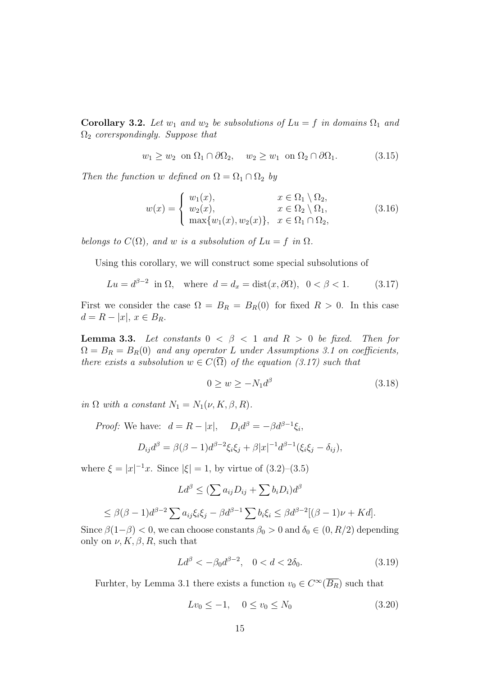**Corollary 3.2.** Let  $w_1$  and  $w_2$  be subsolutions of  $Lu = f$  in domains  $\Omega_1$  and  $\Omega_2$  corerspondingly. Suppose that

$$
w_1 \ge w_2 \quad \text{on } \Omega_1 \cap \partial \Omega_2, \quad w_2 \ge w_1 \quad \text{on } \Omega_2 \cap \partial \Omega_1. \tag{3.15}
$$

Then the function w defined on  $\Omega = \Omega_1 \cap \Omega_2$  by

$$
w(x) = \begin{cases} w_1(x), & x \in \Omega_1 \setminus \Omega_2, \\ w_2(x), & x \in \Omega_2 \setminus \Omega_1, \\ \max\{w_1(x), w_2(x)\}, & x \in \Omega_1 \cap \Omega_2, \end{cases}
$$
(3.16)

belongs to  $C(\Omega)$ , and w is a subsolution of  $Lu = f$  in  $\Omega$ .

Using this corollary, we will construct some special subsolutions of

$$
Lu = d^{\beta - 2} \text{ in } \Omega, \text{ where } d = d_x = \text{dist}(x, \partial \Omega), 0 < \beta < 1. \tag{3.17}
$$

First we consider the case  $\Omega = B_R = B_R(0)$  for fixed  $R > 0$ . In this case  $d = R - |x|, x \in B_R.$ 

**Lemma 3.3.** Let constants  $0 < \beta < 1$  and  $R > 0$  be fixed. Then for  $\Omega = B_R = B_R(0)$  and any operator L under Assumptions 3.1 on coefficients, there exists a subsolution  $w \in C(\overline{\Omega})$  of the equation (3.17) such that

$$
0 \ge w \ge -N_1 d^{\beta} \tag{3.18}
$$

in  $\Omega$  with a constant  $N_1 = N_1(\nu, K, \beta, R)$ .

*Proof:* We have:  $d = R - |x|$ ,  $D_i d^{\beta} = -\beta d^{\beta-1} \xi_i$ ,

$$
D_{ij}d^{\beta} = \beta(\beta - 1)d^{\beta - 2}\xi_i\xi_j + \beta|x|^{-1}d^{\beta - 1}(\xi_i\xi_j - \delta_{ij}),
$$

where  $\xi = |x|^{-1}x$ . Since  $|\xi| = 1$ , by virtue of  $(3.2)$ – $(3.5)$ 

$$
Ld^{\beta} \leq (\sum a_{ij}D_{ij} + \sum b_i D_i)d^{\beta}
$$

$$
\leq \beta(\beta-1)d^{\beta-2}\sum a_{ij}\xi_i\xi_j - \beta d^{\beta-1}\sum b_i\xi_i \leq \beta d^{\beta-2}[(\beta-1)\nu + Kd].
$$

Since  $\beta(1-\beta) < 0$ , we can choose constants  $\beta_0 > 0$  and  $\delta_0 \in (0, R/2)$  depending only on  $\nu, K, \beta, R$ , such that

$$
Ld^{\beta} < -\beta_0 d^{\beta - 2}, \quad 0 < d < 2\delta_0.
$$
 (3.19)

Furhter, by Lemma 3.1 there exists a function  $v_0 \in C^{\infty}(\overline{B_R})$  such that

$$
Lv_0 \le -1, \quad 0 \le v_0 \le N_0 \tag{3.20}
$$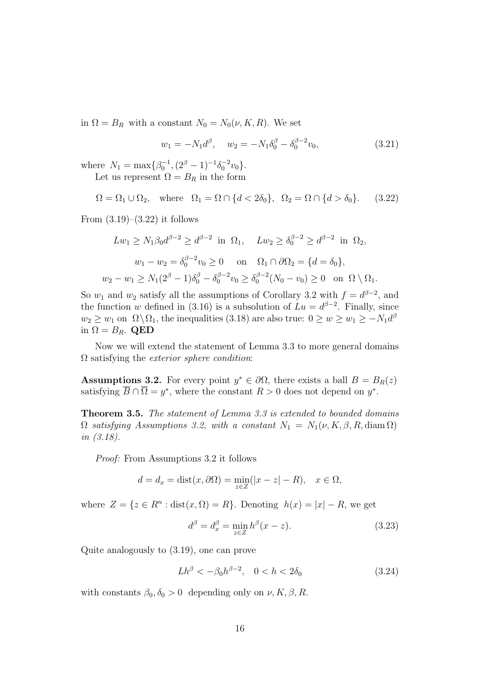in  $\Omega = B_R$  with a constant  $N_0 = N_0(\nu, K, R)$ . We set

$$
w_1 = -N_1 d^{\beta}, \quad w_2 = -N_1 \delta_0^{\beta} - \delta_0^{\beta - 2} v_0,
$$
\n(3.21)

where  $N_1 = \max\{\beta_0^{-1}, (2^{\beta} - 1)^{-1}\delta_0^{-2}v_0\}.$ Let us represent  $\Omega = B_R$  in the form

$$
\Omega = \Omega_1 \cup \Omega_2, \quad \text{where} \quad \Omega_1 = \Omega \cap \{d < 2\delta_0\}, \quad \Omega_2 = \Omega \cap \{d > \delta_0\}. \tag{3.22}
$$

From  $(3.19)$ – $(3.22)$  it follows

$$
Lw_1 \ge N_1 \beta_0 d^{\beta - 2} \ge d^{\beta - 2} \text{ in } \Omega_1, \quad Lw_2 \ge \delta_0^{\beta - 2} \ge d^{\beta - 2} \text{ in } \Omega_2,
$$
  

$$
w_1 - w_2 = \delta_0^{\beta - 2} v_0 \ge 0 \quad \text{on } \Omega_1 \cap \partial \Omega_2 = \{d = \delta_0\},
$$
  

$$
w_2 - w_1 \ge N_1 (2^{\beta} - 1) \delta_0^{\beta} - \delta_0^{\beta - 2} v_0 \ge \delta_0^{\beta - 2} (N_0 - v_0) \ge 0 \quad \text{on } \Omega \setminus \Omega_1.
$$

So  $w_1$  and  $w_2$  satisfy all the assumptions of Corollary 3.2 with  $f = d^{\beta - 2}$ , and the function w defined in (3.16) is a subsolution of  $Lu = d^{\beta-2}$ . Finally, since  $w_2 \geq w_1$  on  $\Omega \setminus \Omega_1$ , the inequalities (3.18) are also true:  $0 \geq w \geq w_1 \geq -N_1 d^{\beta}$ in  $\Omega = B_R$ . QED

Now we will extend the statement of Lemma 3.3 to more general domains  $\Omega$  satisfying the *exterior sphere condition*:

Assumptions 3.2. For every point  $y^* \in \partial \Omega$ , there exists a ball  $B = B_R(z)$ satisfying  $\overline{B} \cap \overline{\Omega} = y^*$ , where the constant  $R > 0$  does not depend on  $y^*$ .

Theorem 3.5. The statement of Lemma 3.3 is extended to bounded domains  $\Omega$  satisfying Assumptions 3.2, with a constant  $N_1 = N_1(\nu, K, \beta, R, \text{diam}\,\Omega)$ in (3.18).

Proof: From Assumptions 3.2 it follows

$$
d = d_x = \text{dist}(x, \partial \Omega) = \min_{z \in Z} (|x - z| - R), \quad x \in \Omega,
$$

where  $Z = \{z \in R^n : dist(x, \Omega) = R\}$ . Denoting  $h(x) = |x| - R$ , we get

$$
d^{\beta} = d_x^{\beta} = \min_{z \in Z} h^{\beta}(x - z). \tag{3.23}
$$

Quite analogously to (3.19), one can prove

$$
Lh^{\beta} < -\beta_0 h^{\beta - 2}, \quad 0 < h < 2\delta_0 \tag{3.24}
$$

with constants  $\beta_0$ ,  $\delta_0 > 0$  depending only on  $\nu, K, \beta, R$ .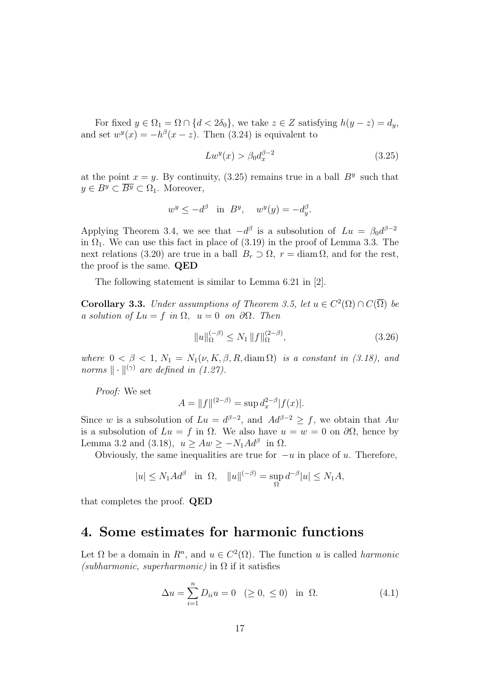For fixed  $y \in \Omega_1 = \Omega \cap \{d < 2\delta_0\}$ , we take  $z \in Z$  satisfying  $h(y - z) = d_y$ , and set  $w^y(x) = -h^{\beta}(x - z)$ . Then (3.24) is equivalent to

$$
Lw^y(x) > \beta_0 d_x^{\beta - 2} \tag{3.25}
$$

at the point  $x = y$ . By continuity, (3.25) remains true in a ball  $B<sup>y</sup>$  such that  $y \in B^y \subset \overline{B^y} \subset \Omega_1$ . Moreover,

$$
w^y \le -d^{\beta} \quad \text{in} \quad B^y, \quad w^y(y) = -d_y^{\beta}.
$$

Applying Theorem 3.4, we see that  $-d^{\beta}$  is a subsolution of  $Lu = \beta_0 d^{\beta-2}$ in  $\Omega_1$ . We can use this fact in place of (3.19) in the proof of Lemma 3.3. The next relations (3.20) are true in a ball  $B_r \supset \Omega$ ,  $r = \text{diam }\Omega$ , and for the rest, the proof is the same. QED

The following statement is similar to Lemma 6.21 in [2].

**Corollary 3.3.** Under assumptions of Theorem 3.5, let  $u \in C^2(\Omega) \cap C(\overline{\Omega})$  be a solution of  $Lu = f$  in  $\Omega$ ,  $u = 0$  on  $\partial\Omega$ . Then

$$
||u||_{\Omega}^{(-\beta)} \le N_1 ||f||_{\Omega}^{(2-\beta)}, \tag{3.26}
$$

where  $0 < \beta < 1$ ,  $N_1 = N_1(\nu, K, \beta, R, \text{diam}\Omega)$  is a constant in (3.18), and norms  $\|\cdot\|^{(\gamma)}$  are defined in (1.27).

Proof: We set

$$
A = ||f||^{(2-\beta)} = \sup d_x^{2-\beta} |f(x)|.
$$

Since w is a subsolution of  $Lu = d^{\beta-2}$ , and  $Ad^{\beta-2} \ge f$ , we obtain that  $Au$ is a subsolution of  $Lu = f$  in  $\Omega$ . We also have  $u = w = 0$  on  $\partial\Omega$ , hence by Lemma 3.2 and (3.18),  $u \ge Aw \ge -N_1Ad^{\beta}$  in  $\Omega$ .

Obviously, the same inequalities are true for  $-u$  in place of u. Therefore,

$$
|u|\leq N_1Ad^\beta\quad\text{in }\ \Omega,\quad \|u\|^{(-\beta)}=\sup_{\Omega}d^{-\beta}|u|\leq N_1A,
$$

that completes the proof. QED

### 4. Some estimates for harmonic functions

Let  $\Omega$  be a domain in  $\mathbb{R}^n$ , and  $u \in C^2(\Omega)$ . The function u is called *harmonic* (subharmonic, superharmonic) in  $\Omega$  if it satisfies

$$
\Delta u = \sum_{i=1}^{n} D_{ii} u = 0 \ \ (\ge 0, \ \le 0) \ \ \text{in} \ \ \Omega. \tag{4.1}
$$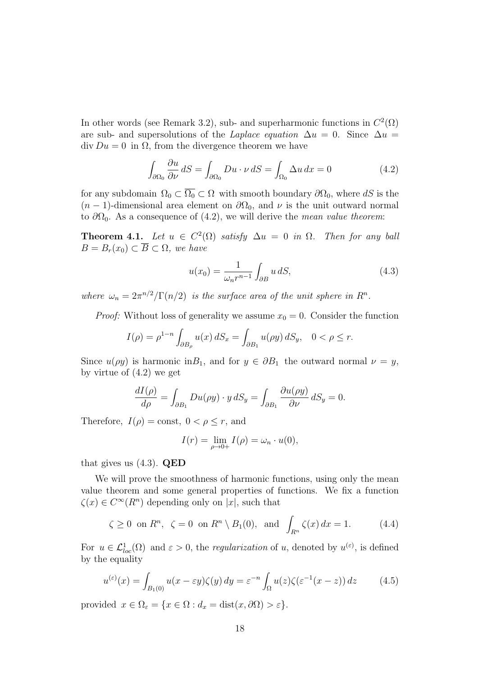In other words (see Remark 3.2), sub- and superharmonic functions in  $C^2(\Omega)$ are sub- and supersolutions of the Laplace equation  $\Delta u = 0$ . Since  $\Delta u =$  $\mathrm{div} D u = 0$  in  $\Omega$ , from the divergence theorem we have

$$
\int_{\partial\Omega_0} \frac{\partial u}{\partial \nu} dS = \int_{\partial\Omega_0} Du \cdot \nu dS = \int_{\Omega_0} \Delta u dx = 0 \tag{4.2}
$$

for any subdomain  $\Omega_0 \subset \overline{\Omega_0} \subset \Omega$  with smooth boundary  $\partial \Omega_0$ , where dS is the  $(n-1)$ -dimensional area element on  $\partial\Omega_0$ , and  $\nu$  is the unit outward normal to  $\partial\Omega_0$ . As a consequence of (4.2), we will derive the mean value theorem:

**Theorem 4.1.** Let  $u \in C^2(\Omega)$  satisfy  $\Delta u = 0$  in  $\Omega$ . Then for any ball  $B = B_r(x_0) \subset \overline{B} \subset \Omega$ , we have

$$
u(x_0) = \frac{1}{\omega_n r^{n-1}} \int_{\partial B} u \, dS,\tag{4.3}
$$

where  $\omega_n = 2\pi^{n/2}/\Gamma(n/2)$  is the surface area of the unit sphere in  $R^n$ .

*Proof:* Without loss of generality we assume  $x_0 = 0$ . Consider the function

$$
I(\rho) = \rho^{1-n} \int_{\partial B_{\rho}} u(x) dS_x = \int_{\partial B_1} u(\rho y) dS_y, \quad 0 < \rho \le r.
$$

Since  $u(\rho y)$  is harmonic in $B_1$ , and for  $y \in \partial B_1$  the outward normal  $\nu = y$ , by virtue of (4.2) we get

$$
\frac{dI(\rho)}{d\rho} = \int_{\partial B_1} Du(\rho y) \cdot y \, dS_y = \int_{\partial B_1} \frac{\partial u(\rho y)}{\partial \nu} \, dS_y = 0.
$$

Therefore,  $I(\rho) = \text{const}, 0 < \rho \leq r$ , and

$$
I(r) = \lim_{\rho \to 0+} I(\rho) = \omega_n \cdot u(0),
$$

that gives us  $(4.3)$ . QED

We will prove the smoothness of harmonic functions, using only the mean value theorem and some general properties of functions. We fix a function  $\zeta(x) \in C^{\infty}(R^n)$  depending only on |x|, such that

$$
\zeta \ge 0 \text{ on } R^n, \ \zeta = 0 \text{ on } R^n \setminus B_1(0), \text{ and } \int_{R^n} \zeta(x) dx = 1. \tag{4.4}
$$

For  $u \in \mathcal{L}_{loc}^1(\Omega)$  and  $\varepsilon > 0$ , the *regularization* of u, denoted by  $u^{(\varepsilon)}$ , is defined by the equality

$$
u^{(\varepsilon)}(x) = \int_{B_1(0)} u(x - \varepsilon y) \zeta(y) dy = \varepsilon^{-n} \int_{\Omega} u(z) \zeta(\varepsilon^{-1}(x - z)) dz \qquad (4.5)
$$

provided  $x \in \Omega_{\varepsilon} = \{x \in \Omega : d_x = \text{dist}(x, \partial \Omega) > \varepsilon\}.$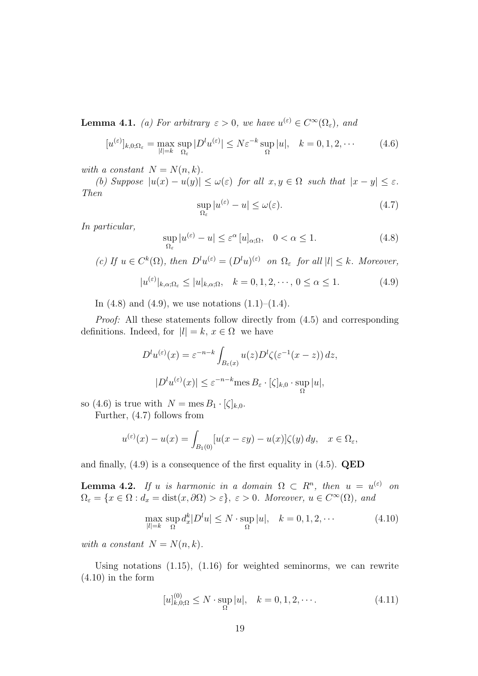**Lemma 4.1.** (a) For arbitrary  $\varepsilon > 0$ , we have  $u^{(\varepsilon)} \in C^{\infty}(\Omega_{\varepsilon})$ , and

$$
[u^{(\varepsilon)}]_{k,0;\Omega_{\varepsilon}} = \max_{|l|=k} \sup_{\Omega_{\varepsilon}} |D^l u^{(\varepsilon)}| \le N\varepsilon^{-k} \sup_{\Omega} |u|, \quad k = 0, 1, 2, \cdots \tag{4.6}
$$

with a constant  $N = N(n, k)$ .

(b) Suppose  $|u(x) - u(y)| \leq \omega(\varepsilon)$  for all  $x, y \in \Omega$  such that  $|x - y| \leq \varepsilon$ . Then

$$
\sup_{\Omega_{\varepsilon}} |u^{(\varepsilon)} - u| \le \omega(\varepsilon). \tag{4.7}
$$

In particular,

$$
\sup_{\Omega_{\varepsilon}} |u^{(\varepsilon)} - u| \le \varepsilon^{\alpha} \, [u]_{\alpha;\Omega}, \quad 0 < \alpha \le 1. \tag{4.8}
$$

(c) If 
$$
u \in C^k(\Omega)
$$
, then  $D^l u^{(\varepsilon)} = (D^l u)^{(\varepsilon)}$  on  $\Omega_{\varepsilon}$  for all  $|l| \leq k$ . Moreover,

$$
|u^{(\varepsilon)}|_{k,\alpha;\Omega_{\varepsilon}} \le |u|_{k,\alpha;\Omega}, \quad k = 0, 1, 2, \cdots, 0 \le \alpha \le 1.
$$
 (4.9)

In  $(4.8)$  and  $(4.9)$ , we use notations  $(1.1)$ – $(1.4)$ .

Proof: All these statements follow directly from (4.5) and corresponding definitions. Indeed, for  $|l| = k, x \in \Omega$  we have

$$
D^{l}u^{(\varepsilon)}(x) = \varepsilon^{-n-k} \int_{B_{\varepsilon}(x)} u(z)D^{l}\zeta(\varepsilon^{-1}(x-z)) dz,
$$
  

$$
|D^{l}u^{(\varepsilon)}(x)| \le \varepsilon^{-n-k} \text{mes } B_{\varepsilon} \cdot [\zeta]_{k,0} \cdot \sup_{\Omega} |u|,
$$

so (4.6) is true with  $N = \text{mes } B_1 \cdot [\zeta]_{k,0}$ .

Further, (4.7) follows from

$$
u^{(\varepsilon)}(x) - u(x) = \int_{B_1(0)} [u(x - \varepsilon y) - u(x)] \zeta(y) dy, \quad x \in \Omega_{\varepsilon},
$$

and finally,  $(4.9)$  is a consequence of the first equality in  $(4.5)$ . QED

**Lemma 4.2.** If u is harmonic in a domain  $\Omega \subset R^n$ , then  $u = u^{(\varepsilon)}$  on  $\Omega_{\varepsilon} = \{x \in \Omega : d_x = \text{dist}(x, \partial \Omega) > \varepsilon\}, \ \varepsilon > 0.$  Moreover,  $u \in C^{\infty}(\Omega)$ , and

$$
\max_{|l|=k} \sup_{\Omega} d_x^k |D^l u| \le N \cdot \sup_{\Omega} |u|, \quad k = 0, 1, 2, \cdots \tag{4.10}
$$

with a constant  $N = N(n, k)$ .

Using notations (1.15), (1.16) for weighted seminorms, we can rewrite  $(4.10)$  in the form

$$
[u]_{k,0;\Omega}^{(0)} \le N \cdot \sup_{\Omega} |u|, \quad k = 0, 1, 2, \cdots. \tag{4.11}
$$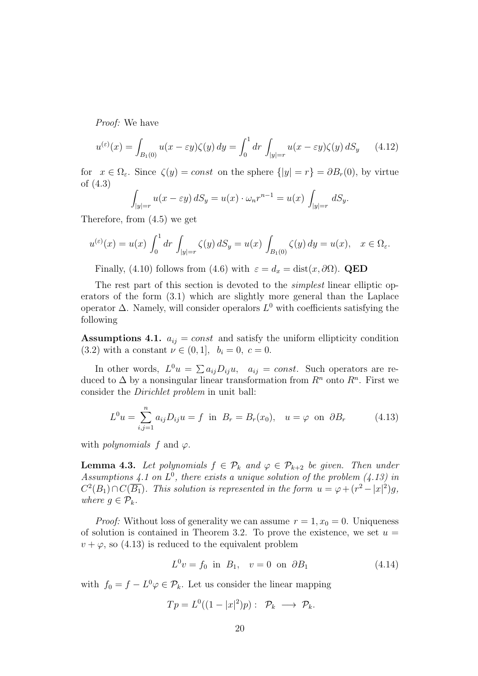Proof: We have

$$
u^{(\varepsilon)}(x) = \int_{B_1(0)} u(x - \varepsilon y) \zeta(y) dy = \int_0^1 dr \int_{|y|=r} u(x - \varepsilon y) \zeta(y) dS_y \qquad (4.12)
$$

for  $x \in \Omega_{\varepsilon}$ . Since  $\zeta(y) = const$  on the sphere  $\{|y| = r\} = \partial B_r(0)$ , by virtue of (4.3)

$$
\int_{|y|=r} u(x-\varepsilon y) dS_y = u(x) \cdot \omega_n r^{n-1} = u(x) \int_{|y|=r} dS_y.
$$

Therefore, from (4.5) we get

$$
u^{(\varepsilon)}(x) = u(x) \int_0^1 dr \int_{|y|=r} \zeta(y) dS_y = u(x) \int_{B_1(0)} \zeta(y) dy = u(x), \quad x \in \Omega_{\varepsilon}.
$$

Finally, (4.10) follows from (4.6) with  $\varepsilon = d_x = \text{dist}(x, \partial\Omega)$ . QED

The rest part of this section is devoted to the simplest linear elliptic operators of the form (3.1) which are slightly more general than the Laplace operator  $\Delta$ . Namely, will consider operalors  $L^0$  with coefficients satisfying the following

**Assumptions 4.1.**  $a_{ij} = const$  and satisfy the uniform ellipticity condition (3.2) with a constant  $\nu \in (0, 1], b_i = 0, c = 0.$ 

In other words,  $L^0 u = \sum a_{ij} D_{ij} u$ ,  $a_{ij} = const$ . Such operators are reduced to  $\Delta$  by a nonsingular linear transformation from  $R^n$  onto  $R^n$ . First we consider the Dirichlet problem in unit ball:

$$
L^{0}u = \sum_{i,j=1}^{n} a_{ij}D_{ij}u = f \text{ in } B_{r} = B_{r}(x_{0}), \quad u = \varphi \text{ on } \partial B_{r}
$$
 (4.13)

with *polynomials* f and  $\varphi$ .

**Lemma 4.3.** Let polynomials  $f \in \mathcal{P}_k$  and  $\varphi \in \mathcal{P}_{k+2}$  be given. Then under Assumptions 4.1 on  $L^0$ , there exists a unique solution of the problem (4.13) in  $C^2(B_1) \cap C(\overline{B_1})$ . This solution is represented in the form  $u = \varphi + (r^2 - |x|^2)g$ , where  $g \in \mathcal{P}_k$ .

*Proof:* Without loss of generality we can assume  $r = 1, x_0 = 0$ . Uniqueness of solution is contained in Theorem 3.2. To prove the existence, we set  $u =$  $v + \varphi$ , so (4.13) is reduced to the equivalent problem

$$
L^{0}v = f_{0} \text{ in } B_{1}, \quad v = 0 \text{ on } \partial B_{1}
$$
 (4.14)

with  $f_0 = f - L^0 \varphi \in \mathcal{P}_k$ . Let us consider the linear mapping

$$
Tp = L^{0}((1-|x|^{2})p): \mathcal{P}_{k} \longrightarrow \mathcal{P}_{k}.
$$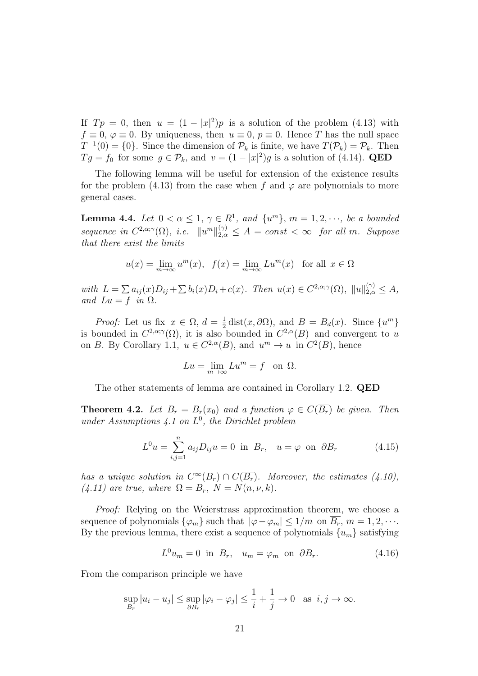If  $Tp = 0$ , then  $u = (1 - |x|^2)p$  is a solution of the problem (4.13) with  $f \equiv 0, \varphi \equiv 0$ . By uniqueness, then  $u \equiv 0, p \equiv 0$ . Hence T has the null space  $T^{-1}(0) = \{0\}$ . Since the dimension of  $\mathcal{P}_k$  is finite, we have  $T(\mathcal{P}_k) = \mathcal{P}_k$ . Then  $Tg = f_0$  for some  $g \in \mathcal{P}_k$ , and  $v = (1 - |x|^2)g$  is a solution of (4.14). QED

The following lemma will be useful for extension of the existence results for the problem (4.13) from the case when f and  $\varphi$  are polynomials to more general cases.

**Lemma 4.4.** Let  $0 < \alpha \leq 1$ ,  $\gamma \in R^1$ , and  $\{u^m\}$ ,  $m = 1, 2, \dots$ , be a bounded sequence in  $C^{2,\alpha;\gamma}(\Omega)$ , i.e.  $||u^m||_{2,\alpha}^{(\gamma)} \leq A = const < \infty$  for all m. Suppose that there exist the limits

$$
u(x) = \lim_{m \to \infty} u^m(x), \ f(x) = \lim_{m \to \infty} Lu^m(x) \text{ for all } x \in \Omega
$$

with  $L = \sum a_{ij}(x)D_{ij} + \sum b_i(x)D_i + c(x)$ . Then  $u(x) \in C^{2,\alpha;\gamma}(\Omega)$ ,  $||u||_{2,\alpha}^{(\gamma)} \leq A$ , and  $Lu = f$  in  $\Omega$ .

*Proof:* Let us fix  $x \in \Omega$ ,  $d = \frac{1}{2}$  $\frac{1}{2}$  dist $(x, \partial\Omega)$ , and  $B = B_d(x)$ . Since  $\{u^m\}$ is bounded in  $C^{2,\alpha;\gamma}(\Omega)$ , it is also bounded in  $C^{2,\alpha}(B)$  and convergent to u on B. By Corollary 1.1,  $u \in C^{2,\alpha}(B)$ , and  $u^m \to u$  in  $C^2(B)$ , hence

$$
Lu = \lim_{m \to \infty} Lu^m = f \text{ on } \Omega.
$$

The other statements of lemma are contained in Corollary 1.2. QED

**Theorem 4.2.** Let  $B_r = B_r(x_0)$  and a function  $\varphi \in C(\overline{B_r})$  be given. Then under Assumptions  $4.1$  on  $L^0$ , the Dirichlet problem

$$
L^0 u = \sum_{i,j=1}^n a_{ij} D_{ij} u = 0 \text{ in } B_r, \quad u = \varphi \text{ on } \partial B_r \tag{4.15}
$$

has a unique solution in  $C^{\infty}(B_r) \cap C(\overline{B_r})$ . Moreover, the estimates (4.10),  $(4.11)$  are true, where  $\Omega = B_r$ ,  $N = N(n, \nu, k)$ .

*Proof:* Relying on the Weierstrass approximation theorem, we choose a sequence of polynomials  $\{\varphi_m\}$  such that  $|\varphi-\varphi_m|\leq 1/m$  on  $B_r$ ,  $m=1,2,\cdots$ . By the previous lemma, there exist a sequence of polynomials  $\{u_m\}$  satisfying

$$
L^0 u_m = 0 \text{ in } B_r, \quad u_m = \varphi_m \text{ on } \partial B_r. \tag{4.16}
$$

From the comparison principle we have

$$
\sup_{B_r} |u_i - u_j| \le \sup_{\partial B_r} |\varphi_i - \varphi_j| \le \frac{1}{i} + \frac{1}{j} \to 0 \quad \text{as } i, j \to \infty.
$$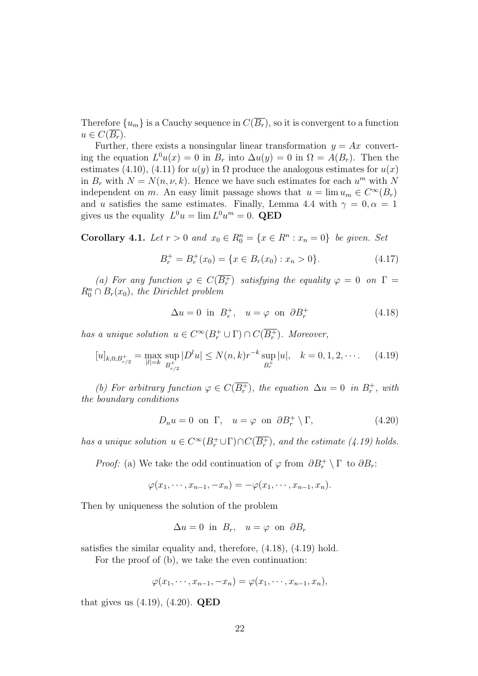Therefore  $\{u_m\}$  is a Cauchy sequence in  $C(\overline{B_r})$ , so it is convergent to a function  $u \in C(\overline{B_r}).$ 

Further, there exists a nonsingular linear transformation  $y = Ax$  converting the equation  $L^0u(x) = 0$  in  $B_r$  into  $\Delta u(y) = 0$  in  $\Omega = A(B_r)$ . Then the estimates (4.10), (4.11) for  $u(y)$  in  $\Omega$  produce the analogous estimates for  $u(x)$ in  $B_r$  with  $N = N(n, \nu, k)$ . Hence we have such estimates for each  $u^m$  with N independent on m. An easy limit passage shows that  $u = \lim u_m \in C^{\infty}(B_r)$ and u satisfies the same estimates. Finally, Lemma 4.4 with  $\gamma = 0, \alpha = 1$ gives us the equality  $L^0 u = \lim L^0 u^m = 0$ . QED

**Corollary 4.1.** Let  $r > 0$  and  $x_0 \in R_0^n = \{x \in R^n : x_n = 0\}$  be given. Set

$$
B_r^+ = B_r^+(x_0) = \{ x \in B_r(x_0) : x_n > 0 \}. \tag{4.17}
$$

(a) For any function  $\varphi \in C(\overline{B_r^+})$  satisfying the equality  $\varphi = 0$  on  $\Gamma =$  $R_0^n \cap B_r(x_0)$ , the Dirichlet problem

$$
\Delta u = 0 \text{ in } B_r^+, \quad u = \varphi \text{ on } \partial B_r^+ \tag{4.18}
$$

has a unique solution  $u \in C^{\infty}(B_r^+ \cup \Gamma) \cap C(\overline{B_r^+})$ . Moreover,

$$
[u]_{k,0;B_{r/2}^+} = \max_{|l|=k} \sup_{B_{r/2}^+} |D^l u| \le N(n,k)r^{-k} \sup_{B_r^+} |u|, \quad k = 0, 1, 2, \cdots. \tag{4.19}
$$

(b) For arbitrary function  $\varphi \in C(\overline{B_r^+})$ , the equation  $\Delta u = 0$  in  $B_r^+$ , with the boundary conditions

$$
D_n u = 0 \text{ on } \Gamma, \quad u = \varphi \text{ on } \partial B_r^+ \setminus \Gamma, \tag{4.20}
$$

has a unique solution  $u \in C^{\infty}(B_r^+ \cup \Gamma) \cap C(\overline{B_r^+})$ , and the estimate (4.19) holds.

*Proof:* (a) We take the odd continuation of  $\varphi$  from  $\partial B_r^+ \setminus \Gamma$  to  $\partial B_r$ :

$$
\varphi(x_1,\cdots,x_{n-1},-x_n)=-\varphi(x_1,\cdots,x_{n-1},x_n).
$$

Then by uniqueness the solution of the problem

$$
\Delta u = 0 \text{ in } B_r, \quad u = \varphi \text{ on } \partial B_r
$$

satisfies the similar equality and, therefore, (4.18), (4.19) hold.

For the proof of (b), we take the even continuation:

$$
\varphi(x_1,\cdots,x_{n-1},-x_n)=\varphi(x_1,\cdots,x_{n-1},x_n),
$$

that gives us  $(4.19)$ ,  $(4.20)$ . **QED**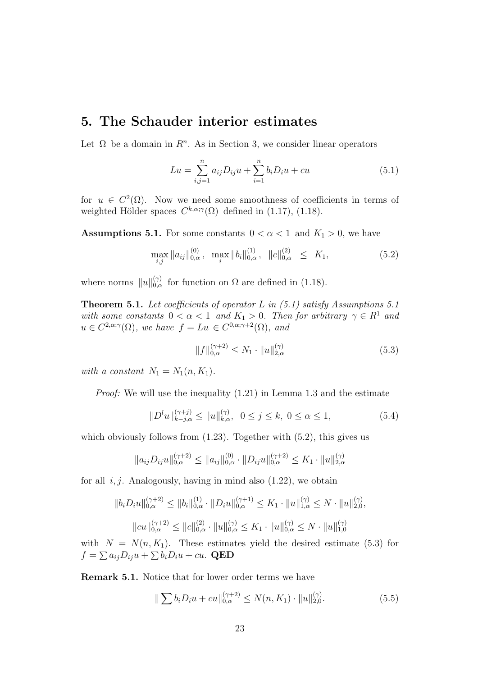# 5. The Schauder interior estimates

Let  $\Omega$  be a domain in  $\mathbb{R}^n$ . As in Section 3, we consider linear operators

$$
Lu = \sum_{i,j=1}^{n} a_{ij} D_{ij} u + \sum_{i=1}^{n} b_i D_i u + cu \tag{5.1}
$$

for  $u \in C^2(\Omega)$ . Now we need some smoothness of coefficients in terms of weighted Hölder spaces  $C^{k,\alpha;\gamma}(\Omega)$  defined in (1.17), (1.18).

Assumptions 5.1. For some constants  $0 < \alpha < 1$  and  $K_1 > 0$ , we have

$$
\max_{i,j} \|a_{ij}\|_{0,\alpha}^{(0)}, \quad \max_{i} \|b_{i}\|_{0,\alpha}^{(1)}, \quad \|c\|_{0,\alpha}^{(2)} \le K_{1}, \tag{5.2}
$$

where norms  $||u||_{0,\alpha}^{(\gamma)}$  for function on  $\Omega$  are defined in (1.18).

**Theorem 5.1.** Let coefficients of operator L in  $(5.1)$  satisfy Assumptions 5.1 with some constants  $0 < \alpha < 1$  and  $K_1 > 0$ . Then for arbitrary  $\gamma \in R^1$  and  $u \in C^{2,\alpha;\gamma}(\Omega)$ , we have  $f = Lu \in C^{0,\alpha;\gamma+2}(\Omega)$ , and

$$
||f||_{0,\alpha}^{(\gamma+2)} \le N_1 \cdot ||u||_{2,\alpha}^{(\gamma)} \tag{5.3}
$$

with a constant  $N_1 = N_1(n, K_1)$ .

Proof: We will use the inequality (1.21) in Lemma 1.3 and the estimate

$$
||D^{l}u||_{k-j,\alpha}^{(\gamma+j)} \le ||u||_{k,\alpha}^{(\gamma)}, \ \ 0 \le j \le k, \ 0 \le \alpha \le 1,\tag{5.4}
$$

which obviously follows from  $(1.23)$ . Together with  $(5.2)$ , this gives us

$$
||a_{ij}D_{ij}u||_{0,\alpha}^{(\gamma+2)} \le ||a_{ij}||_{0,\alpha}^{(0)} \cdot ||D_{ij}u||_{0,\alpha}^{(\gamma+2)} \le K_1 \cdot ||u||_{2,\alpha}^{(\gamma)}
$$

for all  $i, j$ . Analogously, having in mind also  $(1.22)$ , we obtain

$$
||b_i D_i u||_{0,\alpha}^{(\gamma+2)} \le ||b_i||_{0,\alpha}^{(1)} \cdot ||D_i u||_{0,\alpha}^{(\gamma+1)} \le K_1 \cdot ||u||_{1,\alpha}^{(\gamma)} \le N \cdot ||u||_{2,0}^{(\gamma)},
$$
  

$$
||cu||_{0,\alpha}^{(\gamma+2)} \le ||c||_{0,\alpha}^{(2)} \cdot ||u||_{0,\alpha}^{(\gamma)} \le K_1 \cdot ||u||_{0,\alpha}^{(\gamma)} \le N \cdot ||u||_{1,0}^{(\gamma)}
$$

with  $N = N(n, K_1)$ . These estimates yield the desired estimate (5.3) for  $f = \sum a_{ij} D_{ij} u + \sum b_i D_i u + cu$ . QED

Remark 5.1. Notice that for lower order terms we have

$$
\|\sum b_i D_i u + cu\|_{0,\alpha}^{(\gamma+2)} \le N(n, K_1) \cdot \|u\|_{2,0}^{(\gamma)}.
$$
\n(5.5)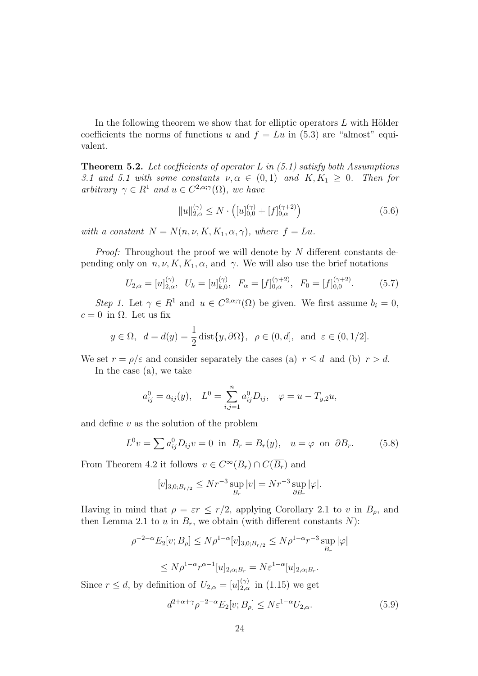In the following theorem we show that for elliptic operators  $L$  with Hölder coefficients the norms of functions u and  $f = Lu$  in (5.3) are "almost" equivalent.

**Theorem 5.2.** Let coefficients of operator L in  $(5.1)$  satisfy both Assumptions 3.1 and 5.1 with some constants  $\nu, \alpha \in (0,1)$  and  $K, K_1 \geq 0$ . Then for arbitrary  $\gamma \in R^1$  and  $u \in C^{2,\alpha;\gamma}(\Omega)$ , we have

$$
||u||_{2,\alpha}^{(\gamma)} \le N \cdot \left( [u]_{0,0}^{(\gamma)} + [f]_{0,\alpha}^{(\gamma+2)} \right) \tag{5.6}
$$

with a constant  $N = N(n, \nu, K, K_1, \alpha, \gamma)$ , where  $f = Lu$ .

Proof: Throughout the proof we will denote by N different constants depending only on  $n, \nu, K, K_1, \alpha$ , and  $\gamma$ . We will also use the brief notations

$$
U_{2,\alpha} = [u]_{2,\alpha}^{(\gamma)}, \quad U_k = [u]_{k,0}^{(\gamma)}, \quad F_{\alpha} = [f]_{0,\alpha}^{(\gamma+2)}, \quad F_0 = [f]_{0,0}^{(\gamma+2)}.
$$
 (5.7)

Step 1. Let  $\gamma \in R^1$  and  $u \in C^{2,\alpha;\gamma}(\Omega)$  be given. We first assume  $b_i = 0$ ,  $c = 0$  in  $\Omega$ . Let us fix

$$
y \in \Omega
$$
,  $d = d(y) = \frac{1}{2} \text{dist}\{y, \partial\Omega\}$ ,  $\rho \in (0, d]$ , and  $\varepsilon \in (0, 1/2]$ .

We set  $r = \rho/\varepsilon$  and consider separately the cases (a)  $r \leq d$  and (b)  $r > d$ . In the case (a), we take

$$
a_{ij}^0 = a_{ij}(y), \quad L^0 = \sum_{i,j=1}^n a_{ij}^0 D_{ij}, \quad \varphi = u - T_{y,2}u,
$$

and define  $v$  as the solution of the problem

$$
L^{0}v = \sum a_{ij}^{0} D_{ij}v = 0 \text{ in } B_{r} = B_{r}(y), \quad u = \varphi \text{ on } \partial B_{r}.
$$
 (5.8)

From Theorem 4.2 it follows  $v \in C^{\infty}(B_r) \cap C(\overline{B_r})$  and

$$
[v]_{3,0;B_{r/2}} \leq Nr^{-3}\sup_{B_r}|v| = Nr^{-3}\sup_{\partial B_r}|\varphi|.
$$

Having in mind that  $\rho = \varepsilon r \leq r/2$ , applying Corollary 2.1 to v in  $B_{\rho}$ , and then Lemma 2.1 to u in  $B_r$ , we obtain (with different constants N):

$$
\rho^{-2-\alpha} E_2[v; B_\rho] \le N \rho^{1-\alpha} [v]_{3,0;B_{r/2}} \le N \rho^{1-\alpha} r^{-3} \sup_{B_r} |\varphi|
$$
  

$$
\le N \rho^{1-\alpha} r^{\alpha-1} [u]_{2,\alpha;B_r} = N \varepsilon^{1-\alpha} [u]_{2,\alpha;B_r}.
$$

Since  $r \leq d$ , by definition of  $U_{2,\alpha} = [u]_{2,\alpha}^{(\gamma)}$  in (1.15) we get

$$
d^{2+\alpha+\gamma}\rho^{-2-\alpha}E_2[v;B_\rho] \le N\varepsilon^{1-\alpha}U_{2,\alpha}.\tag{5.9}
$$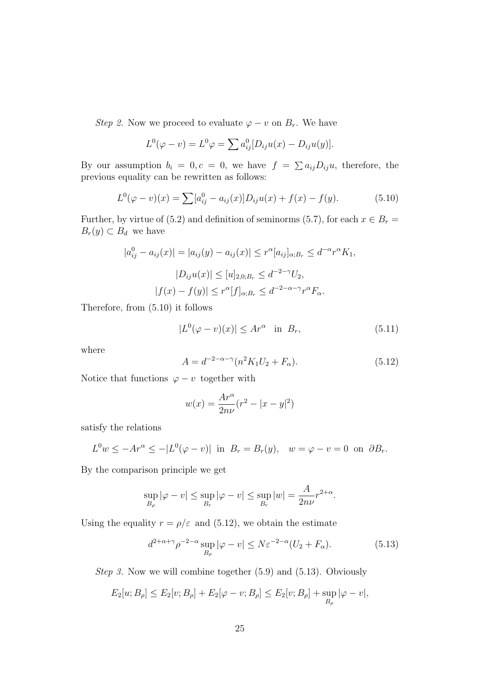Step 2. Now we proceed to evaluate  $\varphi - v$  on  $B_r$ . We have

$$
L^{0}(\varphi - v) = L^{0}\varphi = \sum a_{ij}^{0}[D_{ij}u(x) - D_{ij}u(y)].
$$

By our assumption  $b_i = 0, c = 0$ , we have  $f = \sum a_{ij} D_{ij} u$ , therefore, the previous equality can be rewritten as follows:

$$
L^{0}(\varphi - v)(x) = \sum [a_{ij}^{0} - a_{ij}(x)]D_{ij}u(x) + f(x) - f(y).
$$
 (5.10)

Further, by virtue of (5.2) and definition of seminorms (5.7), for each  $x \in B_r$  $B_r(y) \subset B_d$  we have

$$
|a_{ij}^0 - a_{ij}(x)| = |a_{ij}(y) - a_{ij}(x)| \le r^{\alpha} [a_{ij}]_{\alpha; B_r} \le d^{-\alpha} r^{\alpha} K_1,
$$
  

$$
|D_{ij} u(x)| \le [u]_{2,0; B_r} \le d^{-2-\gamma} U_2,
$$
  

$$
|f(x) - f(y)| \le r^{\alpha} [f]_{\alpha; B_r} \le d^{-2-\alpha-\gamma} r^{\alpha} F_{\alpha}.
$$

Therefore, from (5.10) it follows

$$
|L^{0}(\varphi - v)(x)| \le Ar^{\alpha} \quad \text{in} \quad B_{r}, \tag{5.11}
$$

where

$$
A = d^{-2-\alpha-\gamma}(n^2 K_1 U_2 + F_\alpha).
$$
 (5.12)

Notice that functions  $\varphi - v$  together with

$$
w(x) = \frac{Ar^{\alpha}}{2n\nu}(r^{2} - |x - y|^{2})
$$

satisfy the relations

$$
L^0 w \le -Ar^{\alpha} \le -|L^0(\varphi - v)| \text{ in } B_r = B_r(y), \quad w = \varphi - v = 0 \text{ on } \partial B_r.
$$

By the comparison principle we get

$$
\sup_{B_{\rho}} |\varphi - v| \le \sup_{B_r} |\varphi - v| \le \sup_{B_r} |w| = \frac{A}{2n\nu} r^{2+\alpha}.
$$

Using the equality  $r = \rho/\varepsilon$  and (5.12), we obtain the estimate

$$
d^{2+\alpha+\gamma} \rho^{-2-\alpha} \sup_{B_{\rho}} |\varphi - v| \le N \varepsilon^{-2-\alpha} (U_2 + F_{\alpha}). \tag{5.13}
$$

Step 3. Now we will combine together (5.9) and (5.13). Obviously

$$
E_2[u; B_{\rho}] \le E_2[v; B_{\rho}] + E_2[\varphi - v; B_{\rho}] \le E_2[v; B_{\rho}] + \sup_{B_{\rho}} |\varphi - v|,
$$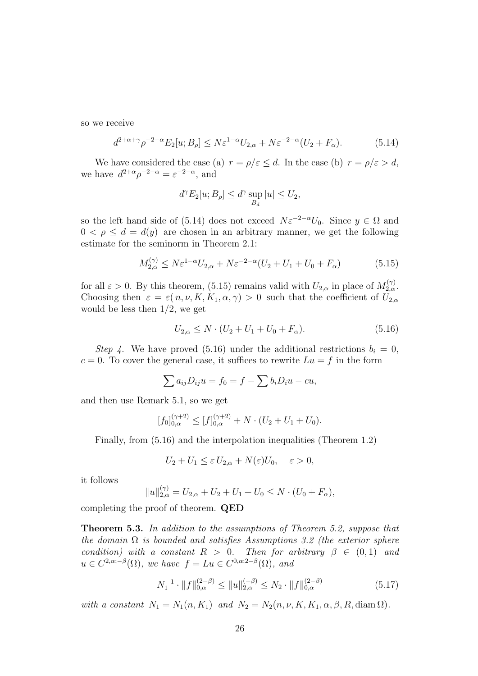so we receive

$$
d^{2+\alpha+\gamma}\rho^{-2-\alpha}E_2[u;B_\rho] \le N\varepsilon^{1-\alpha}U_{2,\alpha} + N\varepsilon^{-2-\alpha}(U_2 + F_\alpha). \tag{5.14}
$$

We have considered the case (a)  $r = \rho/\varepsilon \leq d$ . In the case (b)  $r = \rho/\varepsilon > d$ , we have  $d^{2+\alpha} \rho^{-2-\alpha} = \varepsilon^{-2-\alpha}$ , and

$$
d^{\gamma} E_2[u; B_{\rho}] \le d^{\gamma} \sup_{B_d} |u| \le U_2,
$$

so the left hand side of (5.14) does not exceed  $N\varepsilon^{-2-\alpha}U_0$ . Since  $y \in \Omega$  and  $0 < \rho \leq d = d(y)$  are chosen in an arbitrary manner, we get the following estimate for the seminorm in Theorem 2.1:

$$
M_{2,\alpha}^{(\gamma)} \le N \varepsilon^{1-\alpha} U_{2,\alpha} + N \varepsilon^{-2-\alpha} (U_2 + U_1 + U_0 + F_\alpha)
$$
 (5.15)

for all  $\varepsilon > 0$ . By this theorem, (5.15) remains valid with  $U_{2,\alpha}$  in place of  $M_{2,\alpha}^{(\gamma)}$ . Choosing then  $\varepsilon = \varepsilon(n, \nu, K, K_1, \alpha, \gamma) > 0$  such that the coefficient of  $U_{2,\alpha}$ would be less then  $1/2$ , we get

$$
U_{2,\alpha} \le N \cdot (U_2 + U_1 + U_0 + F_\alpha). \tag{5.16}
$$

Step 4. We have proved (5.16) under the additional restrictions  $b_i = 0$ ,  $c = 0$ . To cover the general case, it suffices to rewrite  $Lu = f$  in the form

$$
\sum a_{ij}D_{ij}u = f_0 = f - \sum b_i D_i u - cu,
$$

and then use Remark 5.1, so we get

$$
[f_0]_{0,\alpha}^{(\gamma+2)} \le [f]_{0,\alpha}^{(\gamma+2)} + N \cdot (U_2 + U_1 + U_0).
$$

Finally, from (5.16) and the interpolation inequalities (Theorem 1.2)

$$
U_2 + U_1 \le \varepsilon U_{2,\alpha} + N(\varepsilon)U_0, \quad \varepsilon > 0,
$$

it follows

$$
||u||_{2,\alpha}^{(\gamma)} = U_{2,\alpha} + U_2 + U_1 + U_0 \le N \cdot (U_0 + F_\alpha),
$$

completing the proof of theorem. QED

Theorem 5.3. In addition to the assumptions of Theorem 5.2, suppose that the domain  $\Omega$  is bounded and satisfies Assumptions 3.2 (the exterior sphere condition) with a constant  $R > 0$ . Then for arbitrary  $\beta \in (0,1)$  and  $u \in C^{2,\alpha;-\beta}(\Omega)$ , we have  $f = Lu \in C^{0,\alpha;2-\beta}(\Omega)$ , and

$$
N_1^{-1} \cdot ||f||_{0,\alpha}^{(2-\beta)} \le ||u||_{2,\alpha}^{(-\beta)} \le N_2 \cdot ||f||_{0,\alpha}^{(2-\beta)} \tag{5.17}
$$

with a constant  $N_1 = N_1(n, K_1)$  and  $N_2 = N_2(n, \nu, K, K_1, \alpha, \beta, R, \text{diam }\Omega)$ .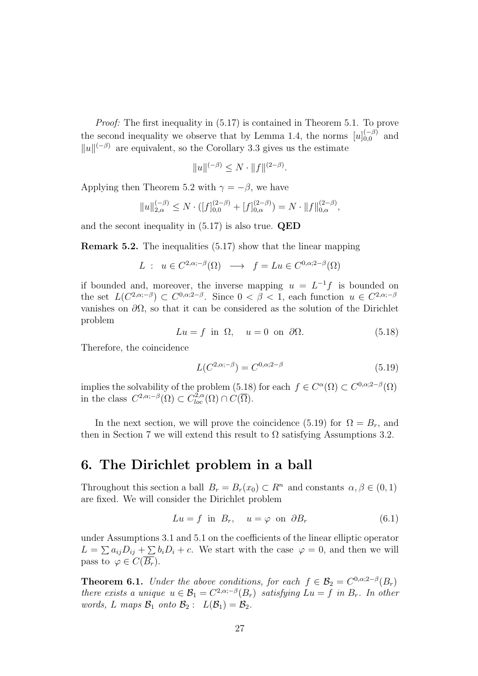Proof: The first inequality in (5.17) is contained in Theorem 5.1. To prove the second inequality we observe that by Lemma 1.4, the norms  $[u]_{0,0}^{(-\beta)}$  and  $||u||^{(-\beta)}$  are equivalent, so the Corollary 3.3 gives us the estimate

$$
||u||^{(-\beta)} \le N \cdot ||f||^{(2-\beta)}.
$$

Applying then Theorem 5.2 with  $\gamma = -\beta$ , we have

$$
||u||_{2,\alpha}^{(-\beta)} \le N \cdot ( [f]_{0,0}^{(2-\beta)} + [f]_{0,\alpha}^{(2-\beta)} ) = N \cdot ||f||_{0,\alpha}^{(2-\beta)},
$$

and the secont inequality in (5.17) is also true. QED

Remark 5.2. The inequalities (5.17) show that the linear mapping

$$
L: u \in C^{2,\alpha;-\beta}(\Omega) \longrightarrow f = Lu \in C^{0,\alpha;2-\beta}(\Omega)
$$

if bounded and, moreover, the inverse mapping  $u = L^{-1}f$  is bounded on the set  $L(C^{2,\alpha;-\beta}) \subset C^{0,\alpha;2-\beta}$ . Since  $0 < \beta < 1$ , each function  $u \in C^{2,\alpha;-\beta}$ vanishes on  $\partial\Omega$ , so that it can be considered as the solution of the Dirichlet problem

 $Lu = f$  in  $\Omega$ ,  $u = 0$  on  $\partial\Omega$ . (5.18)

Therefore, the coincidence

$$
L(C^{2,\alpha;-\beta}) = C^{0,\alpha;2-\beta} \tag{5.19}
$$

implies the solvability of the problem (5.18) for each  $f \in C^{\alpha}(\Omega) \subset C^{0,\alpha;2-\beta}(\Omega)$ in the class  $C^{2,\alpha;-\beta}(\Omega) \subset C^{2,\alpha}_{loc}(\Omega) \cap C(\overline{\Omega}).$ 

In the next section, we will prove the coincidence (5.19) for  $\Omega = B_r$ , and then in Section 7 we will extend this result to  $\Omega$  satisfying Assumptions 3.2.

## 6. The Dirichlet problem in a ball

Throughout this section a ball  $B_r = B_r(x_0) \subset R^n$  and constants  $\alpha, \beta \in (0, 1)$ are fixed. We will consider the Dirichlet problem

$$
Lu = f \text{ in } B_r, \quad u = \varphi \text{ on } \partial B_r \tag{6.1}
$$

under Assumptions 3.1 and 5.1 on the coefficients of the linear elliptic operator  $L = \sum a_{ij} D_{ij} + \sum b_i D_i + c$ . We start with the case  $\varphi = 0$ , and then we will pass to  $\varphi \in C(\overline{B_r})$ .

**Theorem 6.1.** Under the above conditions, for each  $f \in \mathcal{B}_2 = C^{0,\alpha;2-\beta}(B_r)$ there exists a unique  $u \in \mathcal{B}_1 = C^{2,\alpha;-\beta}(B_r)$  satisfying  $Lu = f$  in  $B_r$ . In other words, L maps  $\mathcal{B}_1$  onto  $\mathcal{B}_2$ :  $L(\mathcal{B}_1) = \mathcal{B}_2$ .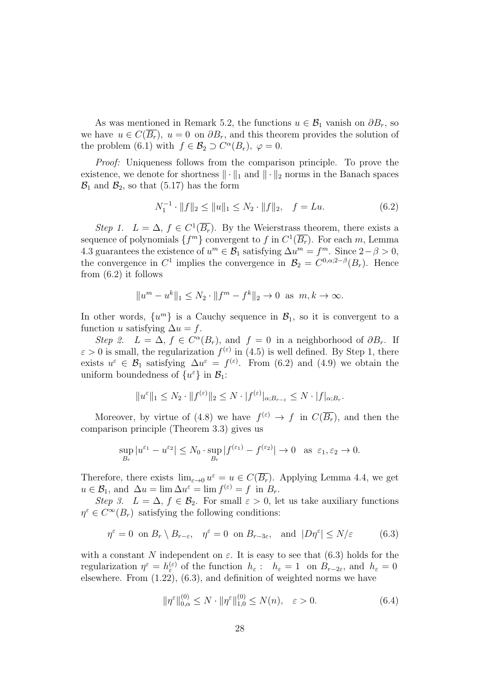As was mentioned in Remark 5.2, the functions  $u \in \mathcal{B}_1$  vanish on  $\partial B_r$ , so we have  $u \in C(\overline{B_r})$ ,  $u = 0$  on  $\partial B_r$ , and this theorem provides the solution of the problem (6.1) with  $f \in \mathcal{B}_2 \supset C^{\alpha}(B_r)$ ,  $\varphi = 0$ .

Proof: Uniqueness follows from the comparison principle. To prove the existence, we denote for shortness  $\|\cdot\|_1$  and  $\|\cdot\|_2$  norms in the Banach spaces  $\mathcal{B}_1$  and  $\mathcal{B}_2$ , so that (5.17) has the form

$$
N_1^{-1} \cdot ||f||_2 \le ||u||_1 \le N_2 \cdot ||f||_2, \quad f = Lu. \tag{6.2}
$$

Step 1.  $L = \Delta$ ,  $f \in C^1(\overline{B_r})$ . By the Weierstrass theorem, there exists a sequence of polynomials  $\{f^m\}$  convergent to  $f$  in  $C^1(\overline{B_r})$ . For each m, Lemma 4.3 guarantees the existence of  $u^m \in \mathcal{B}_1$  satisfying  $\Delta u^m = f^m$ . Since  $2 - \beta > 0$ , the convergence in  $C^1$  implies the convergence in  $\mathcal{B}_2 = C^{0,\alpha;2-\beta}(B_r)$ . Hence from (6.2) it follows

$$
||u^m - u^k||_1 \le N_2 \cdot ||f^m - f^k||_2 \to 0 \text{ as } m, k \to \infty.
$$

In other words,  $\{u^m\}$  is a Cauchy sequence in  $\mathcal{B}_1$ , so it is convergent to a function u satisfying  $\Delta u = f$ .

Step 2.  $L = \Delta$ ,  $f \in C^{\alpha}(B_r)$ , and  $f = 0$  in a neighborhood of  $\partial B_r$ . If  $\varepsilon > 0$  is small, the regularization  $f^{(\varepsilon)}$  in (4.5) is well defined. By Step 1, there exists  $u^{\varepsilon} \in \mathcal{B}_1$  satisfying  $\Delta u^{\varepsilon} = f^{(\varepsilon)}$ . From (6.2) and (4.9) we obtain the uniform boundedness of  $\{u^{\varepsilon}\}\$ in  $\mathcal{B}_1$ :

$$
||u^{\varepsilon}||_1 \leq N_2 \cdot ||f^{(\varepsilon)}||_2 \leq N \cdot |f^{(\varepsilon)}|_{\alpha; B_{r-\varepsilon}} \leq N \cdot |f|_{\alpha; B_r}.
$$

Moreover, by virtue of (4.8) we have  $f^{(\varepsilon)} \to f$  in  $C(\overline{B_r})$ , and then the comparison principle (Theorem 3.3) gives us

$$
\sup_{B_r} |u^{\varepsilon_1} - u^{\varepsilon_2}| \le N_0 \cdot \sup_{B_r} |f^{(\varepsilon_1)} - f^{(\varepsilon_2)}| \to 0 \quad \text{as } \varepsilon_1, \varepsilon_2 \to 0.
$$

Therefore, there exists  $\lim_{\varepsilon \to 0} u^{\varepsilon} = u \in C(\overline{B_r})$ . Applying Lemma 4.4, we get  $u \in \mathcal{B}_1$ , and  $\Delta u = \lim \Delta u^{\varepsilon} = \lim f^{(\varepsilon)} = f$  in  $B_r$ .

Step 3.  $L = \Delta$ ,  $f \in \mathcal{B}_2$ . For small  $\varepsilon > 0$ , let us take auxiliary functions  $\eta^{\varepsilon} \in C^{\infty}(B_{r})$  satisfying the following conditions:

$$
\eta^{\varepsilon} = 0 \text{ on } B_r \setminus B_{r-\varepsilon}, \quad \eta^{\varepsilon} = 0 \text{ on } B_{r-3\varepsilon}, \quad \text{and } |D\eta^{\varepsilon}| \le N/\varepsilon \tag{6.3}
$$

with a constant N independent on  $\varepsilon$ . It is easy to see that (6.3) holds for the regularization  $\eta^{\varepsilon} = h_{\varepsilon}^{(\varepsilon)}$  of the function  $h_{\varepsilon}: h_{\varepsilon} = 1$  on  $B_{r-2\varepsilon}$ , and  $h_{\varepsilon} = 0$ elsewhere. From (1.22), (6.3), and definition of weighted norms we have

$$
\|\eta^{\varepsilon}\|_{0,\alpha}^{(0)} \le N \cdot \|\eta^{\varepsilon}\|_{1,0}^{(0)} \le N(n), \quad \varepsilon > 0.
$$
 (6.4)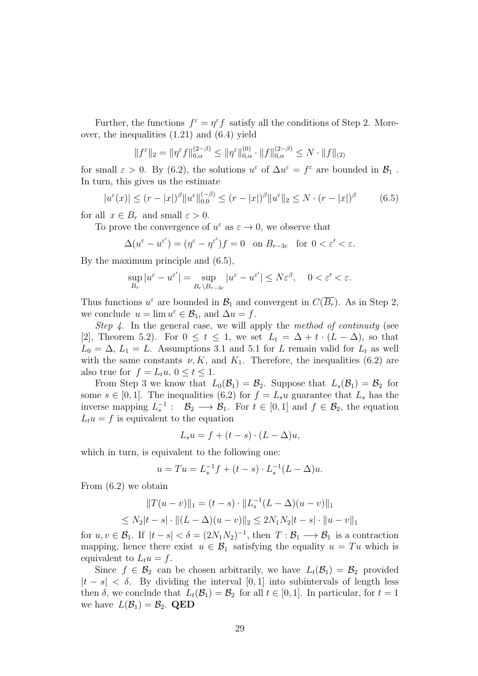Further, the functions  $f^{\varepsilon} = \eta^{\varepsilon} f$  satisfy all the conditions of Step 2. Moreover, the inequalities (1.21) and (6.4) yield

$$
||f^{\varepsilon}||_2 = ||\eta^{\varepsilon} f||_{0,\alpha}^{(2-\beta)} \le ||\eta^{\varepsilon}||_{0,\alpha}^{(0)} \cdot ||f||_{0,\alpha}^{(2-\beta)} \le N \cdot ||f||_{(2)}
$$

for small  $\varepsilon > 0$ . By (6.2), the solutions  $u^{\varepsilon}$  of  $\Delta u^{\varepsilon} = f^{\varepsilon}$  are bounded in  $\mathcal{B}_1$ . In turn, this gives us the estimate

$$
|u^{\varepsilon}(x)| \le (r - |x|)^{\beta} \|u^{\varepsilon}\|_{0,0}^{(-\beta)} \le (r - |x|)^{\beta} \|u^{\varepsilon}\|_{2} \le N \cdot (r - |x|)^{\beta}
$$
(6.5)

for all  $x \in B_r$  and small  $\varepsilon > 0$ .

To prove the convergence of  $u^{\varepsilon}$  as  $\varepsilon \to 0$ , we observe that

$$
\Delta(u^{\varepsilon} - u^{\varepsilon'}) = (\eta^{\varepsilon} - \eta^{\varepsilon'})f = 0 \text{ on } B_{r-3\varepsilon} \text{ for } 0 < \varepsilon' < \varepsilon.
$$

By the maximum principle and (6.5),

$$
\sup_{B_r} |u^{\varepsilon} - u^{\varepsilon'}| = \sup_{B_r \backslash B_{r-3\varepsilon}} |u^{\varepsilon} - u^{\varepsilon'}| \le N\varepsilon^{\beta}, \quad 0 < \varepsilon' < \varepsilon.
$$

Thus functions  $u^{\varepsilon}$  are bounded in  $\mathcal{B}_1$  and convergent in  $C(\overline{B_r})$ . As in Step 2, we conclude  $u = \lim u^{\varepsilon} \in \mathcal{B}_1$ , and  $\Delta u = f$ .

Step 4. In the general case, we will apply the method of continuity (see [2], Theorem 5.2). For  $0 \le t \le 1$ , we set  $L_t = \Delta + t \cdot (L - \Delta)$ , so that  $L_0 = \Delta$ ,  $L_1 = L$ . Assumptions 3.1 and 5.1 for L remain valid for  $L_t$  as well with the same constants  $\nu, K$ , and  $K_1$ . Therefore, the inequalities (6.2) are also true for  $f = L_t u$ ,  $0 \le t \le 1$ .

From Step 3 we know that  $L_0(\mathcal{B}_1) = \mathcal{B}_2$ . Suppose that  $L_s(\mathcal{B}_1) = \mathcal{B}_2$  for some  $s \in [0, 1]$ . The inequalities (6.2) for  $f = L_s u$  guarantee that  $L_s$  has the inverse mapping  $L_s^{-1}$ :  $\mathcal{B}_2 \longrightarrow \mathcal{B}_1$ . For  $t \in [0,1]$  and  $f \in \mathcal{B}_2$ , the equation  $L_t u = f$  is equivalent to the equation

$$
L_s u = f + (t - s) \cdot (L - \Delta) u,
$$

which in turn, is equivalent to the following one:

$$
u = Tu = L_s^{-1}f + (t - s) \cdot L_s^{-1}(L - \Delta)u.
$$

From (6.2) we obtain

$$
||T(u - v)||_1 = (t - s) \cdot ||L_s^{-1}(L - \Delta)(u - v)||_1
$$
  
\n
$$
\le N_2|t - s| \cdot ||(L - \Delta)(u - v)||_2 \le 2N_1N_2|t - s| \cdot ||u - v||_1
$$

for  $u, v \in \mathcal{B}_1$ . If  $|t - s| < \delta = (2N_1N_2)^{-1}$ , then  $T : \mathcal{B}_1 \longrightarrow \mathcal{B}_1$  is a contraction mapping, hence there exist  $u \in \mathcal{B}_1$  satisfying the equality  $u = Tu$  which is equivalent to  $L_t u = f$ .

Since  $f \in \mathcal{B}_2$  can be chosen arbitrarily, we have  $L_t(\mathcal{B}_1) = \mathcal{B}_2$  provided  $|t - s| < \delta$ . By dividing the interval [0, 1] into subintervals of length less then  $\delta$ , we conclude that  $L_t(\mathcal{B}_1) = \mathcal{B}_2$  for all  $t \in [0, 1]$ . In particular, for  $t = 1$ we have  $L(\mathcal{B}_1) = \mathcal{B}_2$ . QED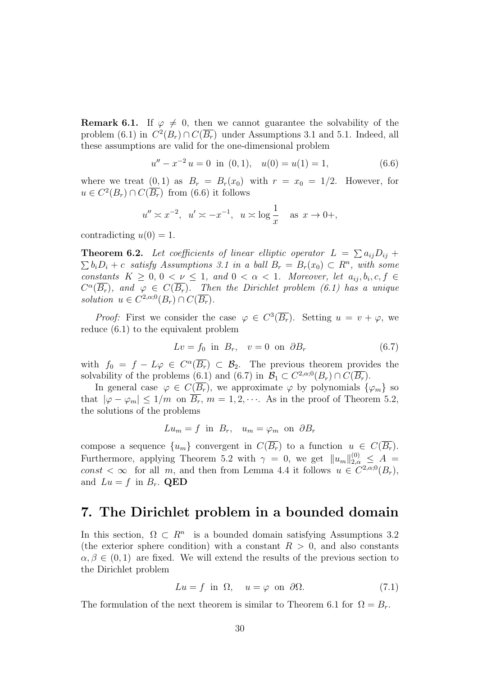**Remark 6.1.** If  $\varphi \neq 0$ , then we cannot guarantee the solvability of the problem (6.1) in  $C^2(B_r) \cap C(\overline{B_r})$  under Assumptions 3.1 and 5.1. Indeed, all these assumptions are valid for the one-dimensional problem

$$
u'' - x^{-2} u = 0 \text{ in } (0, 1), \quad u(0) = u(1) = 1,\tag{6.6}
$$

where we treat  $(0, 1)$  as  $B_r = B_r(x_0)$  with  $r = x_0 = 1/2$ . However, for  $u \in C^2(B_r) \cap C(\overline{B_r})$  from (6.6) it follows

$$
u'' \approx x^{-2}
$$
,  $u' \approx -x^{-1}$ ,  $u \approx \log \frac{1}{x}$  as  $x \to 0+$ ,

contradicting  $u(0) = 1$ .

**Theorem 6.2.** Let coefficients of linear elliptic operator  $L = \sum a_{ij}D_{ij} +$  $\sum b_i D_i + c$  satisfy Assumptions 3.1 in a ball  $B_r = B_r(x_0) \subset R^n$ , with some constants  $K \geq 0, 0 < \nu \leq 1$ , and  $0 < \alpha < 1$ . Moreover, let  $a_{ij}, b_i, c, f \in$  $C^{\alpha}(\overline{B_r})$ , and  $\varphi \in C(\overline{B_r})$ . Then the Dirichlet problem (6.1) has a unique solution  $u \in C^{2,\alpha,0}(B_r) \cap C(\overline{B_r}).$ 

*Proof:* First we consider the case  $\varphi \in C^3(\overline{B_r})$ . Setting  $u = v + \varphi$ , we reduce (6.1) to the equivalent problem

$$
Lv = f_0 \text{ in } B_r, \quad v = 0 \text{ on } \partial B_r \tag{6.7}
$$

with  $f_0 = f - L\varphi \in C^{\alpha}(\overline{B_r}) \subset \mathcal{B}_2$ . The previous theorem provides the solvability of the problems (6.1) and (6.7) in  $\mathcal{B}_1 \subset C^{2,\alpha;0}(B_r) \cap C(\overline{B_r})$ .

In general case  $\varphi \in C(\overline{B_r})$ , we approximate  $\varphi$  by polynomials  $\{\varphi_m\}$  so that  $|\varphi - \varphi_m| \leq 1/m$  on  $\overline{B_r}$ ,  $m = 1, 2, \cdots$ . As in the proof of Theorem 5.2, the solutions of the problems

$$
Lu_m = f \text{ in } B_r, \quad u_m = \varphi_m \text{ on } \partial B_r
$$

compose a sequence  $\{u_m\}$  convergent in  $C(\overline{B_r})$  to a function  $u \in C(\overline{B_r})$ . Furthermore, applying Theorem 5.2 with  $\gamma = 0$ , we get  $||u_m||_{2,\alpha}^{(0)} \leq A =$ const  $\lt \infty$  for all m, and then from Lemma 4.4 it follows  $u \in C^{2,\alpha,0}(B_r)$ , and  $Lu = f$  in  $B_r$ . QED

### 7. The Dirichlet problem in a bounded domain

In this section,  $\Omega \subset R^n$  is a bounded domain satisfying Assumptions 3.2 (the exterior sphere condition) with a constant  $R > 0$ , and also constants  $\alpha, \beta \in (0, 1)$  are fixed. We will extend the results of the previous section to the Dirichlet problem

$$
Lu = f \text{ in } \Omega, \quad u = \varphi \text{ on } \partial\Omega. \tag{7.1}
$$

The formulation of the next theorem is similar to Theorem 6.1 for  $\Omega = B_r$ .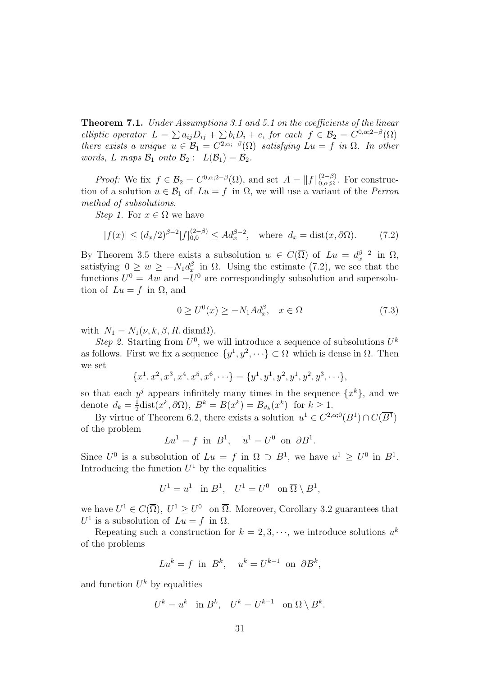**Theorem 7.1.** Under Assumptions 3.1 and 5.1 on the coefficients of the linear elliptic operator  $L = \sum a_{ij} D_{ij} + \sum b_i D_i + c$ , for each  $f \in \mathcal{B}_2 = C^{0,\alpha;2-\beta}(\Omega)$ there exists a unique  $u \in \mathcal{B}_1 = C^{2,\alpha;-\beta}(\Omega)$  satisfying  $Lu = f$  in  $\Omega$ . In other words, L maps  $\mathcal{B}_1$  onto  $\mathcal{B}_2$ :  $L(\mathcal{B}_1) = \mathcal{B}_2$ .

Proof: We fix  $f \in \mathcal{B}_2 = C^{0,\alpha;2-\beta}(\Omega)$ , and set  $A = ||f||_{0,\alpha;\Omega}^{(2-\beta)}$ . For construction of a solution  $u \in \mathcal{B}_1$  of  $Lu = f$  in  $\Omega$ , we will use a variant of the *Perron* method of subsolutions.

Step 1. For  $x \in \Omega$  we have

$$
|f(x)| \le (d_x/2)^{\beta - 2} [f]_{0,0}^{(2-\beta)} \le Ad_x^{\beta - 2}, \text{ where } d_x = \text{dist}(x, \partial \Omega). \tag{7.2}
$$

By Theorem 3.5 there exists a subsolution  $w \in C(\overline{\Omega})$  of  $Lu = d_x^{\beta-2}$  in  $\Omega$ , satisfying  $0 \ge w \ge -N_1 d_x^{\beta}$  in  $\Omega$ . Using the estimate (7.2), we see that the functions  $U^0 = Aw$  and  $-U^0$  are correspondingly subsolution and supersolution of  $Lu = f$  in  $\Omega$ , and

$$
0 \ge U^0(x) \ge -N_1 A d_x^{\beta}, \quad x \in \Omega \tag{7.3}
$$

with  $N_1 = N_1(\nu, k, \beta, R, \text{diam}\Omega)$ .

Step 2. Starting from  $U^0$ , we will introduce a sequence of subsolutions  $U^k$ as follows. First we fix a sequence  $\{y^1, y^2, \dots\} \subset \Omega$  which is dense in  $\Omega$ . Then we set

$$
\{x^1, x^2, x^3, x^4, x^5, x^6, \cdots\} = \{y^1, y^1, y^2, y^1, y^2, y^3, \cdots\},\
$$

so that each  $y^j$  appears infinitely many times in the sequence  $\{x^k\}$ , and we denote  $d_k = \frac{1}{2}$  $\frac{1}{2}$ dist $(x^k, \partial \Omega)$ ,  $B^k = B(x^k) = B_{d_k}(x^k)$  for  $k \ge 1$ .

By virtue of Theorem 6.2, there exists a solution  $u^1 \in C^{2,\alpha;0}(B^1) \cap C(\overline{B^1})$ of the problem

$$
Lu^1 = f \text{ in } B^1, \quad u^1 = U^0 \text{ on } \partial B^1.
$$

Since  $U^0$  is a subsolution of  $Lu = f$  in  $\Omega \supset B^1$ , we have  $u^1 \geq U^0$  in  $B^1$ . Introducing the function  $U^1$  by the equalities

$$
U^1 = u^1 \quad \text{in } B^1, \quad U^1 = U^0 \quad \text{on } \overline{\Omega} \setminus B^1,
$$

we have  $U^1 \in C(\overline{\Omega}), U^1 \geq U^0$  on  $\overline{\Omega}$ . Moreover, Corollary 3.2 guarantees that  $U^1$  is a subsolution of  $Lu = f$  in  $\Omega$ .

Repeating such a construction for  $k = 2, 3, \dots$ , we introduce solutions  $u^k$ of the problems

$$
Lu^k = f
$$
 in  $B^k$ ,  $u^k = U^{k-1}$  on  $\partial B^k$ ,

and function  $U^k$  by equalities

$$
U^k = u^k \text{ in } B^k, \quad U^k = U^{k-1} \text{ on } \overline{\Omega} \setminus B^k.
$$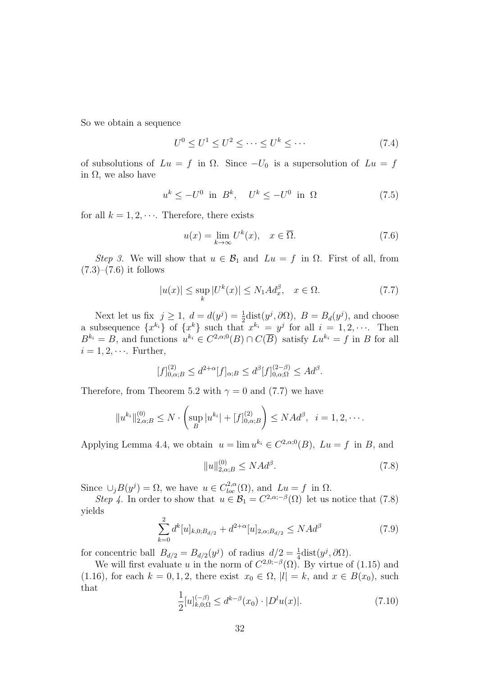So we obtain a sequence

$$
U^0 \le U^1 \le U^2 \le \dots \le U^k \le \dots \tag{7.4}
$$

of subsolutions of  $Lu = f$  in  $\Omega$ . Since  $-U_0$  is a supersolution of  $Lu = f$ in  $\Omega$ , we also have

$$
u^k \le -U^0 \quad \text{in} \quad B^k, \quad U^k \le -U^0 \quad \text{in} \quad \Omega \tag{7.5}
$$

for all  $k = 1, 2, \cdots$ . Therefore, there exists

$$
u(x) = \lim_{k \to \infty} U^k(x), \quad x \in \overline{\Omega}.
$$
 (7.6)

Step 3. We will show that  $u \in \mathcal{B}_1$  and  $Lu = f$  in  $\Omega$ . First of all, from  $(7.3)$ – $(7.6)$  it follows

$$
|u(x)| \le \sup_{k} |U^k(x)| \le N_1 A d_x^{\beta}, \quad x \in \Omega.
$$
 (7.7)

Next let us fix  $j \ge 1$ ,  $d = d(y^{j}) = \frac{1}{2}$ dist $(y^{j}, \partial \Omega)$ ,  $B = B_{d}(y^{j})$ , and choose a subsequence  $\{x^{k_i}\}\$  of  $\{x^k\}$  such that  $x^{k_i} = y^j$  for all  $i = 1, 2, \cdots$ . Then  $B^{k_i} = B$ , and functions  $u^{k_i} \in C^{2,\alpha;0}(B) \cap C(\overline{B})$  satisfy  $Lu^{k_i} = f$  in B for all  $i = 1, 2, \cdots$  Further,

$$
[f]_{0,\alpha;B}^{(2)} \le d^{2+\alpha}[f]_{\alpha;B} \le d^{\beta}[f]_{0,\alpha;\Omega}^{(2-\beta)} \le Ad^{\beta}.
$$

Therefore, from Theorem 5.2 with  $\gamma = 0$  and (7.7) we have

$$
||u^{k_i}||_{2,\alpha;B}^{(0)} \leq N \cdot \left(\sup_B |u^{k_i}| + [f]_{0,\alpha;B}^{(2)}\right) \leq NAd^{\beta}, \ \ i=1,2,\cdots.
$$

Applying Lemma 4.4, we obtain  $u = \lim u^{k_i} \in C^{2,\alpha,0}(B)$ ,  $Lu = f$  in B, and

$$
||u||_{2,\alpha;B}^{(0)} \le NAd^{\beta}.
$$
\n(7.8)

Since  $\cup_j B(y^j) = \Omega$ , we have  $u \in C^{2,\alpha}_{loc}(\Omega)$ , and  $Lu = f$  in  $\Omega$ .

Step 4. In order to show that  $u \in \mathcal{B}_1 = C^{2,\alpha;-\beta}(\Omega)$  let us notice that (7.8) yields

$$
\sum_{k=0}^{2} d^{k}[u]_{k,0;B_{d/2}} + d^{2+\alpha}[u]_{2,\alpha;B_{d/2}} \le NAd^{\beta}
$$
\n(7.9)

for concentric ball  $B_{d/2} = B_{d/2}(y^j)$  of radius  $d/2 = \frac{1}{4} \text{dist}(y^j, \partial \Omega)$ .

We will first evaluate u in the norm of  $C^{2,0;-\beta}(\Omega)$ . By virtue of (1.15) and (1.16), for each  $k = 0, 1, 2$ , there exist  $x_0 \in \Omega$ ,  $|l| = k$ , and  $x \in B(x_0)$ , such that

$$
\frac{1}{2}[u]_{k,0;\Omega}^{(-\beta)} \le d^{k-\beta}(x_0) \cdot |D^l u(x)|. \tag{7.10}
$$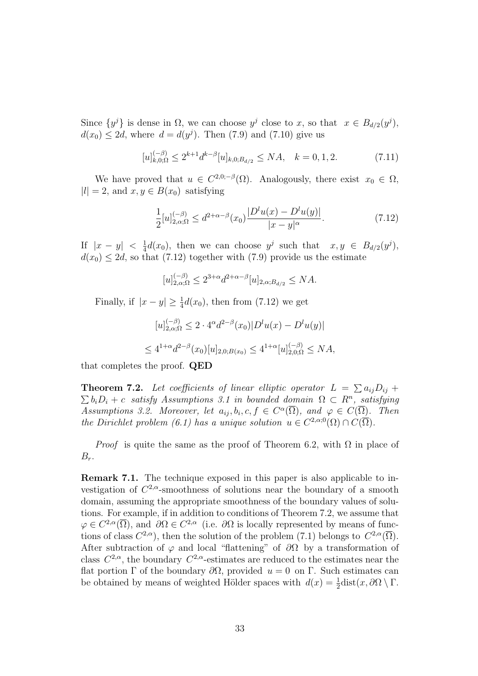Since  $\{y^j\}$  is dense in  $\Omega$ , we can choose  $y^j$  close to x, so that  $x \in B_{d/2}(y^j)$ ,  $d(x_0) \le 2d$ , where  $d = d(y^j)$ . Then (7.9) and (7.10) give us

$$
[u]_{k,0;\Omega}^{(-\beta)} \le 2^{k+1} d^{k-\beta} [u]_{k,0;B_{d/2}} \le NA, \quad k = 0, 1, 2. \tag{7.11}
$$

We have proved that  $u \in C^{2,0;-\beta}(\Omega)$ . Analogously, there exist  $x_0 \in \Omega$ ,  $|l| = 2$ , and  $x, y \in B(x_0)$  satisfying

$$
\frac{1}{2}[u]_{2,\alpha;\Omega}^{(-\beta)} \le d^{2+\alpha-\beta}(x_0) \frac{|D^l u(x) - D^l u(y)|}{|x - y|^{\alpha}}.
$$
\n(7.12)

If  $|x-y| < \frac{1}{4}$  $\frac{1}{4}d(x_0)$ , then we can choose  $y^j$  such that  $x, y \in B_{d/2}(y^j)$ ,  $d(x_0) \leq 2d$ , so that (7.12) together with (7.9) provide us the estimate

$$
[u]_{2,\alpha;\Omega}^{(-\beta)} \le 2^{3+\alpha} d^{2+\alpha-\beta} [u]_{2,\alpha;B_{d/2}} \le NA.
$$

Finally, if  $|x - y| \geq \frac{1}{4}d(x_0)$ , then from (7.12) we get

$$
[u]_{2,\alpha;\Omega}^{(-\beta)} \le 2 \cdot 4^{\alpha} d^{2-\beta}(x_0) |D^l u(x) - D^l u(y)|
$$
  

$$
\le 4^{1+\alpha} d^{2-\beta}(x_0) [u]_{2,0;B(x_0)} \le 4^{1+\alpha} [u]_{2,0;\Omega}^{(-\beta)} \le NA,
$$

that completes the proof. QED

**Theorem 7.2.** Let coefficients of linear elliptic operator  $L = \sum a_{ij}D_{ij} +$  $\sum b_i D_i + c$  satisfy Assumptions 3.1 in bounded domain  $\Omega \subset R^n$ , satisfying Assumptions 3.2. Moreover, let  $a_{ij}, b_i, c, f \in C^{\alpha}(\overline{\Omega})$ , and  $\varphi \in C(\overline{\Omega})$ . Then the Dirichlet problem (6.1) has a unique solution  $u \in C^{2,\alpha;0}(\Omega) \cap C(\overline{\Omega})$ .

*Proof* is quite the same as the proof of Theorem 6.2, with  $\Omega$  in place of  $B_r$ .

Remark 7.1. The technique exposed in this paper is also applicable to investigation of  $C^{2,\alpha}$ -smoothness of solutions near the boundary of a smooth domain, assuming the appropriate smoothness of the boundary values of solutions. For example, if in addition to conditions of Theorem 7.2, we assume that  $\varphi \in C^{2,\alpha}(\overline{\Omega})$ , and  $\partial \Omega \in C^{2,\alpha}$  (i.e.  $\partial \Omega$  is locally represented by means of functions of class  $C^{2,\alpha}$ , then the solution of the problem (7.1) belongs to  $C^{2,\alpha}(\overline{\Omega})$ . After subtraction of  $\varphi$  and local "flattening" of  $\partial\Omega$  by a transformation of class  $C^{2,\alpha}$ , the boundary  $C^{2,\alpha}$ -estimates are reduced to the estimates near the flat portion Γ of the boundary  $\partial\Omega$ , provided  $u = 0$  on Γ. Such estimates can be obtained by means of weighted Hölder spaces with  $d(x) = \frac{1}{2} \text{dist}(x, \partial \Omega \setminus \Gamma)$ .